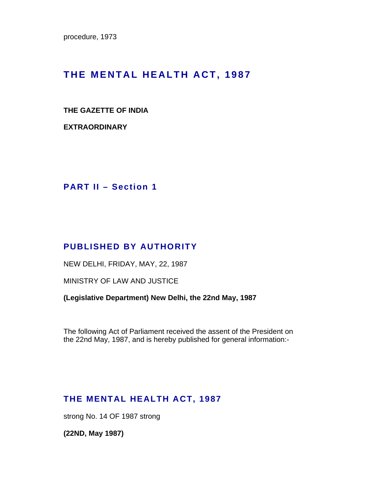procedure, 1973

# **THE MENTAL HEALTH ACT, 1987**

### **THE GAZETTE OF INDIA**

**EXTRAORDINARY** 

**PART II – Section 1** 

## **PUBLISHED BY AUTHORITY**

NEW DELHI, FRIDAY, MAY, 22, 1987

MINISTRY OF LAW AND JUSTICE

**(Legislative Department) New Delhi, the 22nd May, 1987** 

The following Act of Parliament received the assent of the President on the 22nd May, 1987, and is hereby published for general information:-

# **THE MENTAL HEALTH ACT, 1987**

strong No. 14 OF 1987 strong

**(22ND, May 1987)**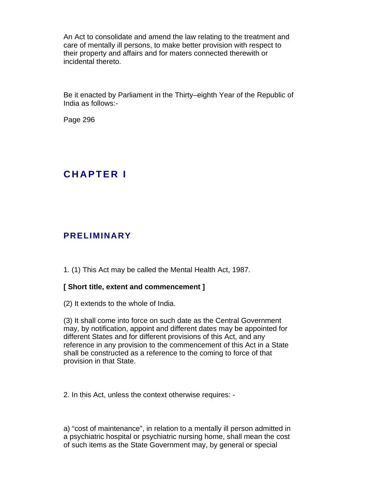An Act to consolidate and amend the law relating to the treatment and care of mentally ill persons, to make better provision with respect to their property and affairs and for maters connected therewith or incidental thereto.

Be it enacted by Parliament in the Thirty–eighth Year of the Republic of India as follows:-

Page 296

# **C H A P T E R I**

## **PRELIMINARY**

1. (1) This Act may be called the Mental Health Act, 1987.

### **[ Short title, extent and commencement ]**

(2) It extends to the whole of India.

(3) It shall come into force on such date as the Central Government may, by notification, appoint and different dates may be appointed for different States and for different provisions of this Act, and any reference in any provision to the commencement of this Act in a State shall be constructed as a reference to the coming to force of that provision in that State.

2. In this Act, unless the context otherwise requires: -

a) "cost of maintenance", in relation to a mentally ill person admitted in a psychiatric hospital or psychiatric nursing home, shall mean the cost of such items as the State Government may, by general or special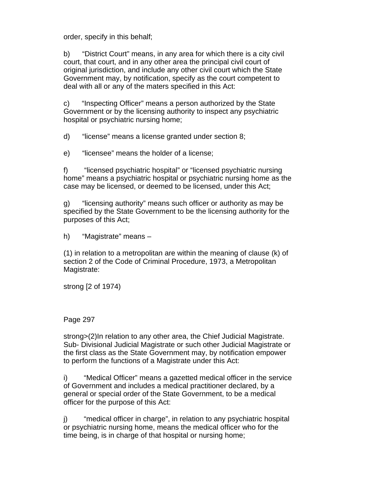order, specify in this behalf;

b) "District Court" means, in any area for which there is a city civil court, that court, and in any other area the principal civil court of original jurisdiction, and include any other civil court which the State Government may, by notification, specify as the court competent to deal with all or any of the maters specified in this Act:

c) "Inspecting Officer" means a person authorized by the State Government or by the licensing authority to inspect any psychiatric hospital or psychiatric nursing home;

d) "license" means a license granted under section 8;

e) "licensee" means the holder of a license;

f) "licensed psychiatric hospital" or "licensed psychiatric nursing home" means a psychiatric hospital or psychiatric nursing home as the case may be licensed, or deemed to be licensed, under this Act;

g) "licensing authority" means such officer or authority as may be specified by the State Government to be the licensing authority for the purposes of this Act;

h) "Magistrate" means –

(1) in relation to a metropolitan are within the meaning of clause (k) of section 2 of the Code of Criminal Procedure, 1973, a Metropolitan Magistrate:

strong [2 of 1974)

Page 297

strong>(2)In relation to any other area, the Chief Judicial Magistrate. Sub- Divisional Judicial Magistrate or such other Judicial Magistrate or the first class as the State Government may, by notification empower to perform the functions of a Magistrate under this Act:

i) "Medical Officer" means a gazetted medical officer in the service of Government and includes a medical practitioner declared, by a general or special order of the State Government, to be a medical officer for the purpose of this Act:

j) "medical officer in charge", in relation to any psychiatric hospital or psychiatric nursing home, means the medical officer who for the time being, is in charge of that hospital or nursing home;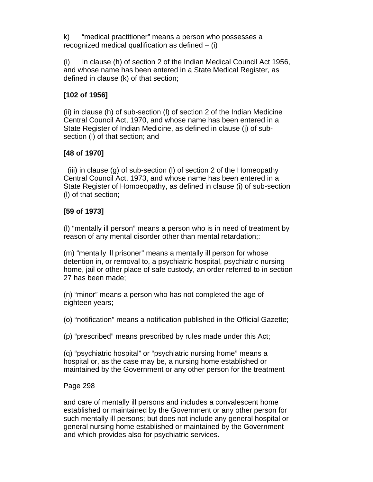k) "medical practitioner" means a person who possesses a recognized medical qualification as defined  $-$  (i)

(i) in clause (h) of section 2 of the Indian Medical Council Act 1956, and whose name has been entered in a State Medical Register, as defined in clause (k) of that section;

## **[102 of 1956]**

(ii) in clause (h) of sub-section (l) of section 2 of the Indian Medicine Central Council Act, 1970, and whose name has been entered in a State Register of Indian Medicine, as defined in clause (j) of subsection (l) of that section; and

## **[48 of 1970]**

 (iii) in clause (g) of sub-section (l) of section 2 of the Homeopathy Central Council Act, 1973, and whose name has been entered in a State Register of Homoeopathy, as defined in clause (i) of sub-section (l) of that section;

## **[59 of 1973]**

(l) "mentally ill person" means a person who is in need of treatment by reason of any mental disorder other than mental retardation;:

(m) "mentally ill prisoner" means a mentally ill person for whose detention in, or removal to, a psychiatric hospital, psychiatric nursing home, jail or other place of safe custody, an order referred to in section 27 has been made;

(n) "minor" means a person who has not completed the age of eighteen years;

(o) "notification" means a notification published in the Official Gazette;

(p) "prescribed" means prescribed by rules made under this Act;

(q) "psychiatric hospital" or "psychiatric nursing home" means a hospital or, as the case may be, a nursing home established or maintained by the Government or any other person for the treatment

## Page 298

and care of mentally ill persons and includes a convalescent home established or maintained by the Government or any other person for such mentally ill persons; but does not include any general hospital or general nursing home established or maintained by the Government and which provides also for psychiatric services.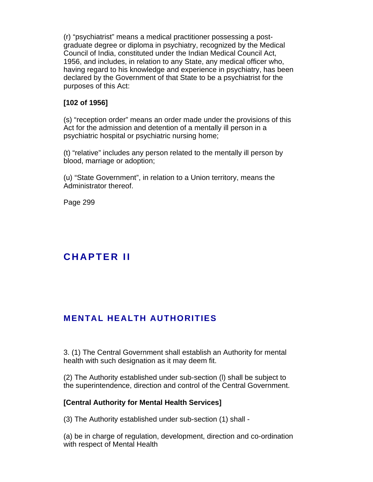(r) "psychiatrist" means a medical practitioner possessing a postgraduate degree or diploma in psychiatry, recognized by the Medical Council of India, constituted under the Indian Medical Council Act, 1956, and includes, in relation to any State, any medical officer who, having regard to his knowledge and experience in psychiatry, has been declared by the Government of that State to be a psychiatrist for the purposes of this Act:

## **[102 of 1956]**

(s) "reception order" means an order made under the provisions of this Act for the admission and detention of a mentally ill person in a psychiatric hospital or psychiatric nursing home;

(t) "relative" includes any person related to the mentally ill person by blood, marriage or adoption;

(u) "State Government", in relation to a Union territory, means the Administrator thereof.

Page 299

# **C H A P T E R I I**

# **MENTAL HEALTH AUTHORITIES**

3. (1) The Central Government shall establish an Authority for mental health with such designation as it may deem fit.

(2) The Authority established under sub-section (l) shall be subject to the superintendence, direction and control of the Central Government.

#### **[Central Authority for Mental Health Services]**

(3) The Authority established under sub-section (1) shall -

(a) be in charge of regulation, development, direction and co-ordination with respect of Mental Health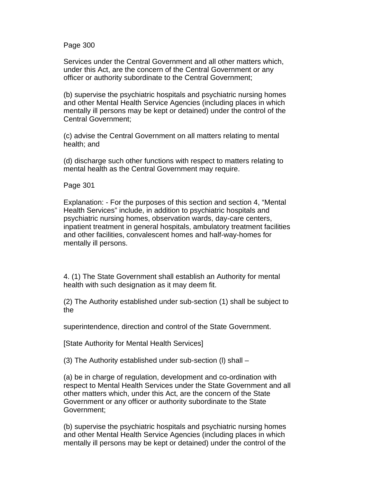Page 300

Services under the Central Government and all other matters which, under this Act, are the concern of the Central Government or any officer or authority subordinate to the Central Government;

(b) supervise the psychiatric hospitals and psychiatric nursing homes and other Mental Health Service Agencies (including places in which mentally ill persons may be kept or detained) under the control of the Central Government;

(c) advise the Central Government on all matters relating to mental health; and

(d) discharge such other functions with respect to matters relating to mental health as the Central Government may require.

Page 301

Explanation: - For the purposes of this section and section 4, "Mental Health Services" include, in addition to psychiatric hospitals and psychiatric nursing homes, observation wards, day-care centers, inpatient treatment in general hospitals, ambulatory treatment facilities and other facilities, convalescent homes and half-way-homes for mentally ill persons.

4. (1) The State Government shall establish an Authority for mental health with such designation as it may deem fit.

(2) The Authority established under sub-section (1) shall be subject to the

superintendence, direction and control of the State Government.

[State Authority for Mental Health Services]

(3) The Authority established under sub-section (l) shall –

(a) be in charge of regulation, development and co-ordination with respect to Mental Health Services under the State Government and all other matters which, under this Act, are the concern of the State Government or any officer or authority subordinate to the State Government;

(b) supervise the psychiatric hospitals and psychiatric nursing homes and other Mental Health Service Agencies (including places in which mentally ill persons may be kept or detained) under the control of the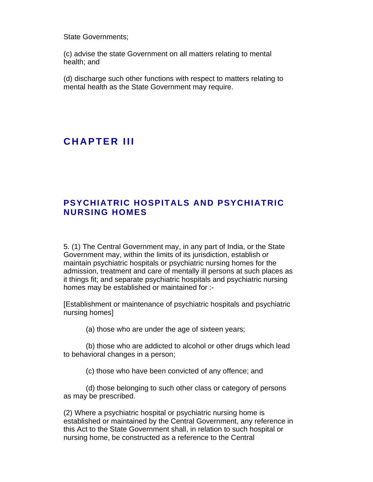State Governments;

(c) advise the state Government on all matters relating to mental health; and

(d) discharge such other functions with respect to matters relating to mental health as the State Government may require.

# **CHAPTER III**

## **PSYCHIATRIC HOSPITALS AND PSYCHIATRIC NURSING HOMES**

5. (1) The Central Government may, in any part of India, or the State Government may, within the limits of its jurisdiction, establish or maintain psychiatric hospitals or psychiatric nursing homes for the admission, treatment and care of mentally ill persons at such places as it things fit; and separate psychiatric hospitals and psychiatric nursing homes may be established or maintained for :-

[Establishment or maintenance of psychiatric hospitals and psychiatric nursing homes]

(a) those who are under the age of sixteen years;

 (b) those who are addicted to alcohol or other drugs which lead to behavioral changes in a person;

(c) those who have been convicted of any offence; and

 (d) those belonging to such other class or category of persons as may be prescribed.

(2) Where a psychiatric hospital or psychiatric nursing home is established or maintained by the Central Government, any reference in this Act to the State Government shall, in relation to such hospital or nursing home, be constructed as a reference to the Central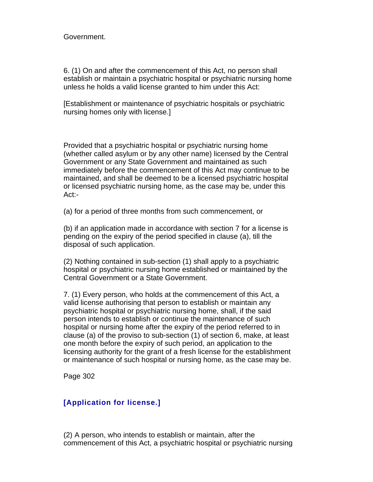Government.

6. (1) On and after the commencement of this Act, no person shall establish or maintain a psychiatric hospital or psychiatric nursing home unless he holds a valid license granted to him under this Act:

[Establishment or maintenance of psychiatric hospitals or psychiatric nursing homes only with license.]

Provided that a psychiatric hospital or psychiatric nursing home (whether called asylum or by any other name) licensed by the Central Government or any State Government and maintained as such immediately before the commencement of this Act may continue to be maintained, and shall be deemed to be a licensed psychiatric hospital or licensed psychiatric nursing home, as the case may be, under this Act:-

(a) for a period of three months from such commencement, or

(b) if an application made in accordance with section 7 for a license is pending on the expiry of the period specified in clause (a), till the disposal of such application.

(2) Nothing contained in sub-section (1) shall apply to a psychiatric hospital or psychiatric nursing home established or maintained by the Central Government or a State Government.

7. (1) Every person, who holds at the commencement of this Act, a valid license authorising that person to establish or maintain any psychiatric hospital or psychiatric nursing home, shall, if the said person intends to establish or continue the maintenance of such hospital or nursing home after the expiry of the period referred to in clause (a) of the proviso to sub-section (1) of section 6, make, at least one month before the expiry of such period, an application to the licensing authority for the grant of a fresh license for the establishment or maintenance of such hospital or nursing home, as the case may be.

Page 302

### **[Application for license.]**

(2) A person, who intends to establish or maintain, after the commencement of this Act, a psychiatric hospital or psychiatric nursing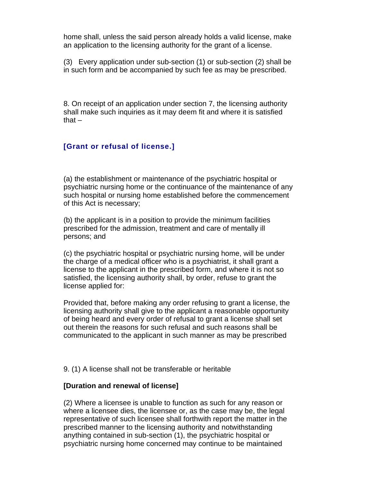home shall, unless the said person already holds a valid license, make an application to the licensing authority for the grant of a license.

(3) Every application under sub-section (1) or sub-section (2) shall be in such form and be accompanied by such fee as may be prescribed.

8. On receipt of an application under section 7, the licensing authority shall make such inquiries as it may deem fit and where it is satisfied that  $-$ 

## **[Grant or refusal of license.]**

(a) the establishment or maintenance of the psychiatric hospital or psychiatric nursing home or the continuance of the maintenance of any such hospital or nursing home established before the commencement of this Act is necessary;

(b) the applicant is in a position to provide the minimum facilities prescribed for the admission, treatment and care of mentally ill persons; and

(c) the psychiatric hospital or psychiatric nursing home, will be under the charge of a medical officer who is a psychiatrist, it shall grant a license to the applicant in the prescribed form, and where it is not so satisfied, the licensing authority shall, by order, refuse to grant the license applied for:

Provided that, before making any order refusing to grant a license, the licensing authority shall give to the applicant a reasonable opportunity of being heard and every order of refusal to grant a license shall set out therein the reasons for such refusal and such reasons shall be communicated to the applicant in such manner as may be prescribed

9. (1) A license shall not be transferable or heritable

#### **[Duration and renewal of license]**

(2) Where a licensee is unable to function as such for any reason or where a licensee dies, the licensee or, as the case may be, the legal representative of such licensee shall forthwith report the matter in the prescribed manner to the licensing authority and notwithstanding anything contained in sub-section (1), the psychiatric hospital or psychiatric nursing home concerned may continue to be maintained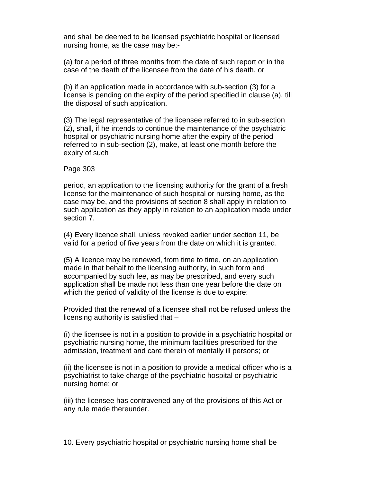and shall be deemed to be licensed psychiatric hospital or licensed nursing home, as the case may be:-

(a) for a period of three months from the date of such report or in the case of the death of the licensee from the date of his death, or

(b) if an application made in accordance with sub-section (3) for a license is pending on the expiry of the period specified in clause (a), till the disposal of such application.

(3) The legal representative of the licensee referred to in sub-section (2), shall, if he intends to continue the maintenance of the psychiatric hospital or psychiatric nursing home after the expiry of the period referred to in sub-section (2), make, at least one month before the expiry of such

#### Page 303

period, an application to the licensing authority for the grant of a fresh license for the maintenance of such hospital or nursing home, as the case may be, and the provisions of section 8 shall apply in relation to such application as they apply in relation to an application made under section 7.

(4) Every licence shall, unless revoked earlier under section 11, be valid for a period of five years from the date on which it is granted.

(5) A licence may be renewed, from time to time, on an application made in that behalf to the licensing authority, in such form and accompanied by such fee, as may be prescribed, and every such application shall be made not less than one year before the date on which the period of validity of the license is due to expire:

Provided that the renewal of a licensee shall not be refused unless the licensing authority is satisfied that –

(i) the licensee is not in a position to provide in a psychiatric hospital or psychiatric nursing home, the minimum facilities prescribed for the admission, treatment and care therein of mentally ill persons; or

(ii) the licensee is not in a position to provide a medical officer who is a psychiatrist to take charge of the psychiatric hospital or psychiatric nursing home; or

(iii) the licensee has contravened any of the provisions of this Act or any rule made thereunder.

10. Every psychiatric hospital or psychiatric nursing home shall be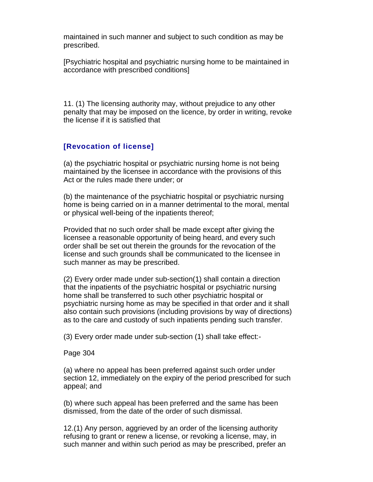maintained in such manner and subject to such condition as may be prescribed.

[Psychiatric hospital and psychiatric nursing home to be maintained in accordance with prescribed conditions]

11. (1) The licensing authority may, without prejudice to any other penalty that may be imposed on the licence, by order in writing, revoke the license if it is satisfied that

## **[Revocation of license]**

(a) the psychiatric hospital or psychiatric nursing home is not being maintained by the licensee in accordance with the provisions of this Act or the rules made there under; or

(b) the maintenance of the psychiatric hospital or psychiatric nursing home is being carried on in a manner detrimental to the moral, mental or physical well-being of the inpatients thereof;

Provided that no such order shall be made except after giving the licensee a reasonable opportunity of being heard, and every such order shall be set out therein the grounds for the revocation of the license and such grounds shall be communicated to the licensee in such manner as may be prescribed.

(2) Every order made under sub-section(1) shall contain a direction that the inpatients of the psychiatric hospital or psychiatric nursing home shall be transferred to such other psychiatric hospital or psychiatric nursing home as may be specified in that order and it shall also contain such provisions (including provisions by way of directions) as to the care and custody of such inpatients pending such transfer.

(3) Every order made under sub-section (1) shall take effect:-

#### Page 304

(a) where no appeal has been preferred against such order under section 12, immediately on the expiry of the period prescribed for such appeal; and

(b) where such appeal has been preferred and the same has been dismissed, from the date of the order of such dismissal.

12.(1) Any person, aggrieved by an order of the licensing authority refusing to grant or renew a license, or revoking a license, may, in such manner and within such period as may be prescribed, prefer an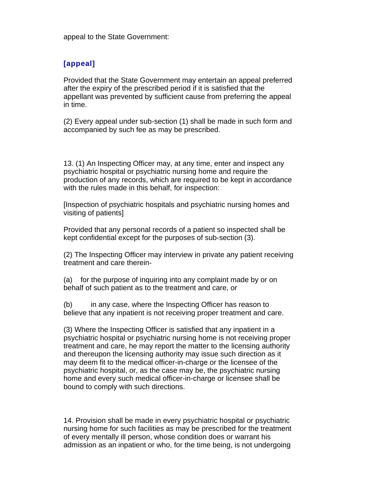appeal to the State Government:

### **[appeal]**

Provided that the State Government may entertain an appeal preferred after the expiry of the prescribed period if it is satisfied that the appellant was prevented by sufficient cause from preferring the appeal in time.

(2) Every appeal under sub-section (1) shall be made in such form and accompanied by such fee as may be prescribed.

13. (1) An Inspecting Officer may, at any time, enter and inspect any psychiatric hospital or psychiatric nursing home and require the production of any records, which are required to be kept in accordance with the rules made in this behalf, for inspection:

[Inspection of psychiatric hospitals and psychiatric nursing homes and visiting of patients]

Provided that any personal records of a patient so inspected shall be kept confidential except for the purposes of sub-section (3).

(2) The Inspecting Officer may interview in private any patient receiving treatment and care therein-

(a) for the purpose of inquiring into any complaint made by or on behalf of such patient as to the treatment and care, or

(b) in any case, where the Inspecting Officer has reason to believe that any inpatient is not receiving proper treatment and care.

(3) Where the Inspecting Officer is satisfied that any inpatient in a psychiatric hospital or psychiatric nursing home is not receiving proper treatment and care, he may report the matter to the licensing authority and thereupon the licensing authority may issue such direction as it may deem fit to the medical officer-in-charge or the licensee of the psychiatric hospital, or, as the case may be, the psychiatric nursing home and every such medical officer-in-charge or licensee shall be bound to comply with such directions.

14. Provision shall be made in every psychiatric hospital or psychiatric nursing home for such facilities as may be prescribed for the treatment of every mentally ill person, whose condition does or warrant his admission as an inpatient or who, for the time being, is not undergoing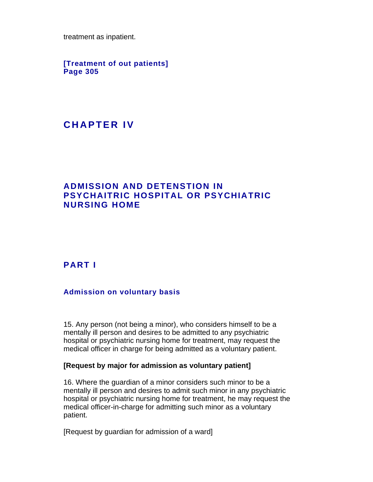treatment as inpatient.

**[Treatment of out patients] Page 305** 

# **C H A P T E R I V**

## **ADMISSION AND DETENSTION IN PSYCHAITRIC HOSPITAL OR PSYCHIATRIC NURSING HOME**

## **PART I**

### **Admission on voluntary basis**

15. Any person (not being a minor), who considers himself to be a mentally ill person and desires to be admitted to any psychiatric hospital or psychiatric nursing home for treatment, may request the medical officer in charge for being admitted as a voluntary patient.

#### **[Request by major for admission as voluntary patient]**

16. Where the guardian of a minor considers such minor to be a mentally ill person and desires to admit such minor in any psychiatric hospital or psychiatric nursing home for treatment, he may request the medical officer-in-charge for admitting such minor as a voluntary patient.

[Request by guardian for admission of a ward]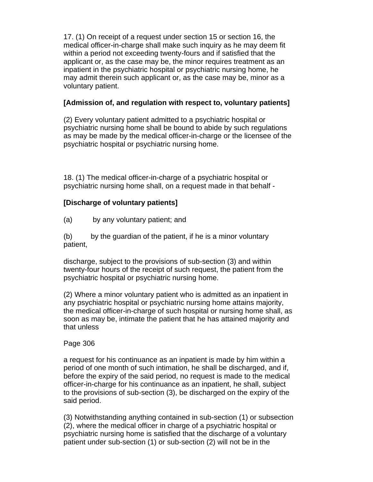17. (1) On receipt of a request under section 15 or section 16, the medical officer-in-charge shall make such inquiry as he may deem fit within a period not exceeding twenty-fours and if satisfied that the applicant or, as the case may be, the minor requires treatment as an inpatient in the psychiatric hospital or psychiatric nursing home, he may admit therein such applicant or, as the case may be, minor as a voluntary patient.

## **[Admission of, and regulation with respect to, voluntary patients]**

(2) Every voluntary patient admitted to a psychiatric hospital or psychiatric nursing home shall be bound to abide by such regulations as may be made by the medical officer-in-charge or the licensee of the psychiatric hospital or psychiatric nursing home.

18. (1) The medical officer-in-charge of a psychiatric hospital or psychiatric nursing home shall, on a request made in that behalf -

## **[Discharge of voluntary patients]**

(a) by any voluntary patient; and

(b) by the guardian of the patient, if he is a minor voluntary patient,

discharge, subject to the provisions of sub-section (3) and within twenty-four hours of the receipt of such request, the patient from the psychiatric hospital or psychiatric nursing home.

(2) Where a minor voluntary patient who is admitted as an inpatient in any psychiatric hospital or psychiatric nursing home attains majority, the medical officer-in-charge of such hospital or nursing home shall, as soon as may be, intimate the patient that he has attained majority and that unless

### Page 306

a request for his continuance as an inpatient is made by him within a period of one month of such intimation, he shall be discharged, and if, before the expiry of the said period, no request is made to the medical officer-in-charge for his continuance as an inpatient, he shall, subject to the provisions of sub-section (3), be discharged on the expiry of the said period.

(3) Notwithstanding anything contained in sub-section (1) or subsection (2), where the medical officer in charge of a psychiatric hospital or psychiatric nursing home is satisfied that the discharge of a voluntary patient under sub-section (1) or sub-section (2) will not be in the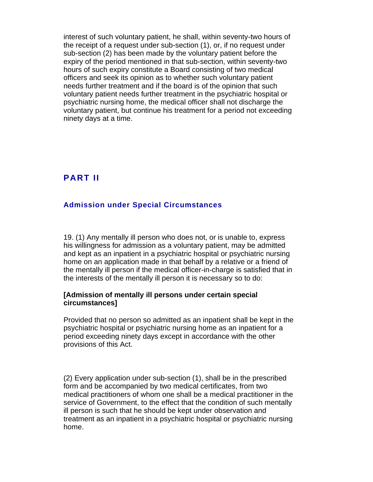interest of such voluntary patient, he shall, within seventy-two hours of the receipt of a request under sub-section (1), or, if no request under sub-section (2) has been made by the voluntary patient before the expiry of the period mentioned in that sub-section, within seventy-two hours of such expiry constitute a Board consisting of two medical officers and seek its opinion as to whether such voluntary patient needs further treatment and if the board is of the opinion that such voluntary patient needs further treatment in the psychiatric hospital or psychiatric nursing home, the medical officer shall not discharge the voluntary patient, but continue his treatment for a period not exceeding ninety days at a time.

## **PART II**

### **Admission under Special Circumstances**

19. (1) Any mentally ill person who does not, or is unable to, express his willingness for admission as a voluntary patient, may be admitted and kept as an inpatient in a psychiatric hospital or psychiatric nursing home on an application made in that behalf by a relative or a friend of the mentally ill person if the medical officer-in-charge is satisfied that in the interests of the mentally ill person it is necessary so to do:

#### **[Admission of mentally ill persons under certain special circumstances]**

Provided that no person so admitted as an inpatient shall be kept in the psychiatric hospital or psychiatric nursing home as an inpatient for a period exceeding ninety days except in accordance with the other provisions of this Act.

(2) Every application under sub-section (1), shall be in the prescribed form and be accompanied by two medical certificates, from two medical practitioners of whom one shall be a medical practitioner in the service of Government, to the effect that the condition of such mentally ill person is such that he should be kept under observation and treatment as an inpatient in a psychiatric hospital or psychiatric nursing home.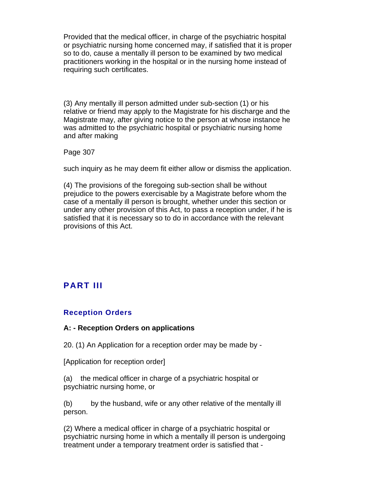Provided that the medical officer, in charge of the psychiatric hospital or psychiatric nursing home concerned may, if satisfied that it is proper so to do, cause a mentally ill person to be examined by two medical practitioners working in the hospital or in the nursing home instead of requiring such certificates.

(3) Any mentally ill person admitted under sub-section (1) or his relative or friend may apply to the Magistrate for his discharge and the Magistrate may, after giving notice to the person at whose instance he was admitted to the psychiatric hospital or psychiatric nursing home and after making

Page 307

such inquiry as he may deem fit either allow or dismiss the application.

(4) The provisions of the foregoing sub-section shall be without prejudice to the powers exercisable by a Magistrate before whom the case of a mentally ill person is brought, whether under this section or under any other provision of this Act, to pass a reception under, if he is satisfied that it is necessary so to do in accordance with the relevant provisions of this Act.

## **PART III**

#### **Reception Orders**

#### **A: - Reception Orders on applications**

20. (1) An Application for a reception order may be made by -

[Application for reception order]

(a) the medical officer in charge of a psychiatric hospital or psychiatric nursing home, or

(b) by the husband, wife or any other relative of the mentally ill person.

(2) Where a medical officer in charge of a psychiatric hospital or psychiatric nursing home in which a mentally ill person is undergoing treatment under a temporary treatment order is satisfied that -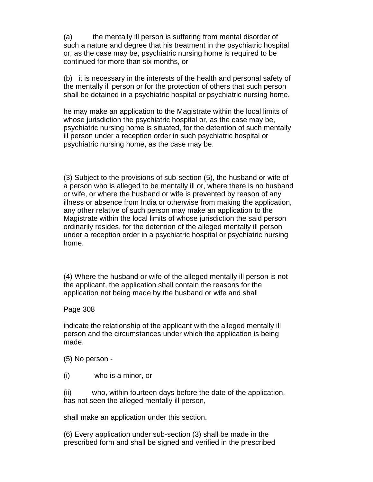(a) the mentally ill person is suffering from mental disorder of such a nature and degree that his treatment in the psychiatric hospital or, as the case may be, psychiatric nursing home is required to be continued for more than six months, or

(b) it is necessary in the interests of the health and personal safety of the mentally ill person or for the protection of others that such person shall be detained in a psychiatric hospital or psychiatric nursing home,

he may make an application to the Magistrate within the local limits of whose jurisdiction the psychiatric hospital or, as the case may be, psychiatric nursing home is situated, for the detention of such mentally ill person under a reception order in such psychiatric hospital or psychiatric nursing home, as the case may be.

(3) Subject to the provisions of sub-section (5), the husband or wife of a person who is alleged to be mentally ill or, where there is no husband or wife, or where the husband or wife is prevented by reason of any illness or absence from India or otherwise from making the application, any other relative of such person may make an application to the Magistrate within the local limits of whose jurisdiction the said person ordinarily resides, for the detention of the alleged mentally ill person under a reception order in a psychiatric hospital or psychiatric nursing home.

(4) Where the husband or wife of the alleged mentally ill person is not the applicant, the application shall contain the reasons for the application not being made by the husband or wife and shall

Page 308

indicate the relationship of the applicant with the alleged mentally ill person and the circumstances under which the application is being made.

(5) No person -

(i) who is a minor, or

(ii) who, within fourteen days before the date of the application, has not seen the alleged mentally ill person,

shall make an application under this section.

(6) Every application under sub-section (3) shall be made in the prescribed form and shall be signed and verified in the prescribed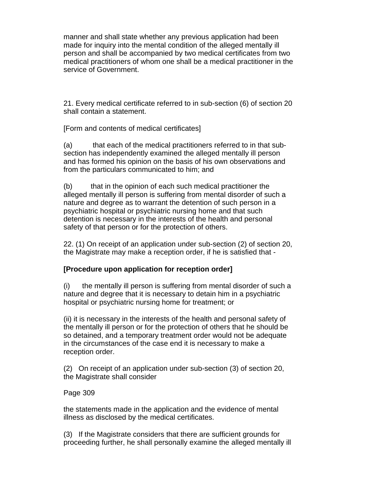manner and shall state whether any previous application had been made for inquiry into the mental condition of the alleged mentally ill person and shall be accompanied by two medical certificates from two medical practitioners of whom one shall be a medical practitioner in the service of Government.

21. Every medical certificate referred to in sub-section (6) of section 20 shall contain a statement.

[Form and contents of medical certificates]

(a) that each of the medical practitioners referred to in that subsection has independently examined the alleged mentally ill person and has formed his opinion on the basis of his own observations and from the particulars communicated to him; and

(b) that in the opinion of each such medical practitioner the alleged mentally ill person is suffering from mental disorder of such a nature and degree as to warrant the detention of such person in a psychiatric hospital or psychiatric nursing home and that such detention is necessary in the interests of the health and personal safety of that person or for the protection of others.

22. (1) On receipt of an application under sub-section (2) of section 20, the Magistrate may make a reception order, if he is satisfied that -

### **[Procedure upon application for reception order]**

(i) the mentally ill person is suffering from mental disorder of such a nature and degree that it is necessary to detain him in a psychiatric hospital or psychiatric nursing home for treatment; or

(ii) it is necessary in the interests of the health and personal safety of the mentally ill person or for the protection of others that he should be so detained, and a temporary treatment order would not be adequate in the circumstances of the case end it is necessary to make a reception order.

(2) On receipt of an application under sub-section (3) of section 20, the Magistrate shall consider

### Page 309

the statements made in the application and the evidence of mental illness as disclosed by the medical certificates.

(3) If the Magistrate considers that there are sufficient grounds for proceeding further, he shall personally examine the alleged mentally ill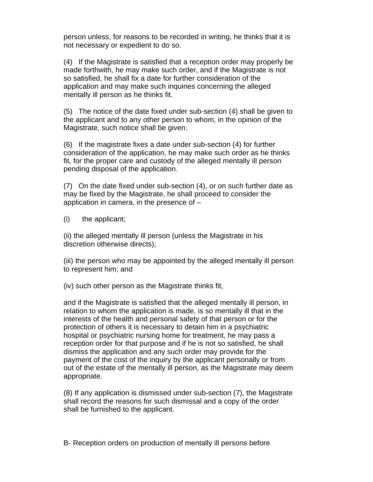person unless, for reasons to be recorded in writing, he thinks that it is not necessary or expedient to do so.

(4) If the Magistrate is satisfied that a reception order may properly be made forthwith, he may make such order, and if the Magistrate is not so satisfied, he shall fix a date for further consideration of the application and may make such inquiries concerning the alleged mentally ill person as he thinks fit.

(5) The notice of the date fixed under sub-section (4) shall be given to the applicant and to any other person to whom, in the opinion of the Magistrate, such notice shall be given.

(6) If the magistrate fixes a date under sub-section (4) for further consideration of the application, he may make such order as he thinks fit, for the proper care and custody of the alleged mentally ill person pending disposal of the application.

(7) On the date fixed under sub-section (4), or on such further date as may be fixed by the Magistrate, he shall proceed to consider the application in camera, in the presence of –

(i) the applicant;

(ii) the alleged mentally ill person (unless the Magistrate in his discretion otherwise directs);

(iii) the person who may be appointed by the alleged mentally ill person to represent him; and

(iv) such other person as the Magistrate thinks fit,

and if the Magistrate is satisfied that the alleged mentally ill person, in relation to whom the application is made, is so mentally ill that in the interests of the health and personal safety of that person or for the protection of others it is necessary to detain him in a psychiatric hospital or psychiatric nursing home for treatment, he may pass a reception order for that purpose and if he is not so satisfied, he shall dismiss the application and any such order may provide for the payment of the cost of the inquiry by the applicant personally or from out of the estate of the mentally ill person, as the Magistrate may deem appropriate.

(8) If any application is dismissed under sub-section (7), the Magistrate shall record the reasons for such dismissal and a copy of the order shall be furnished to the applicant.

B- Reception orders on production of mentally ill persons before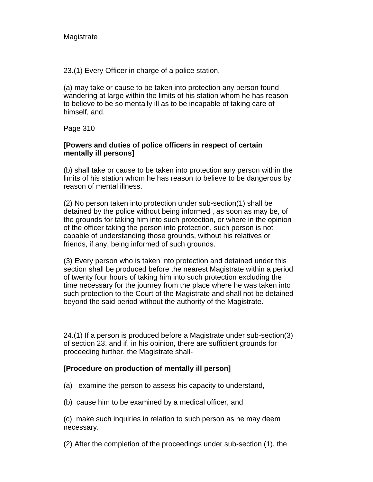**Magistrate** 

23.(1) Every Officer in charge of a police station,-

(a) may take or cause to be taken into protection any person found wandering at large within the limits of his station whom he has reason to believe to be so mentally ill as to be incapable of taking care of himself, and.

Page 310

### **[Powers and duties of police officers in respect of certain mentally ill persons]**

(b) shall take or cause to be taken into protection any person within the limits of his station whom he has reason to believe to be dangerous by reason of mental illness.

(2) No person taken into protection under sub-section(1) shall be detained by the police without being informed , as soon as may be, of the grounds for taking him into such protection, or where in the opinion of the officer taking the person into protection, such person is not capable of understanding those grounds, without his relatives or friends, if any, being informed of such grounds.

(3) Every person who is taken into protection and detained under this section shall be produced before the nearest Magistrate within a period of twenty four hours of taking him into such protection excluding the time necessary for the journey from the place where he was taken into such protection to the Court of the Magistrate and shall not be detained beyond the said period without the authority of the Magistrate.

24.(1) If a person is produced before a Magistrate under sub-section(3) of section 23, and if, in his opinion, there are sufficient grounds for proceeding further, the Magistrate shall-

### **[Procedure on production of mentally ill person]**

- (a) examine the person to assess his capacity to understand,
- (b) cause him to be examined by a medical officer, and

(c) make such inquiries in relation to such person as he may deem necessary.

(2) After the completion of the proceedings under sub-section (1), the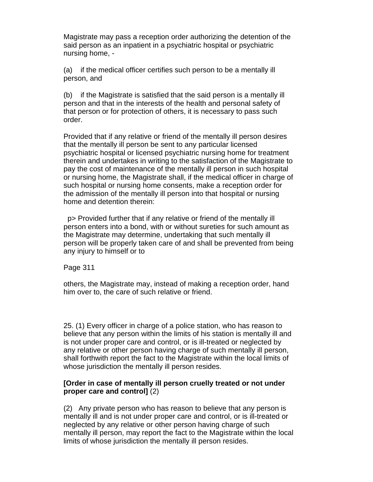Magistrate may pass a reception order authorizing the detention of the said person as an inpatient in a psychiatric hospital or psychiatric nursing home, -

(a) if the medical officer certifies such person to be a mentally ill person, and

(b) if the Magistrate is satisfied that the said person is a mentally ill person and that in the interests of the health and personal safety of that person or for protection of others, it is necessary to pass such order.

Provided that if any relative or friend of the mentally ill person desires that the mentally ill person be sent to any particular licensed psychiatric hospital or licensed psychiatric nursing home for treatment therein and undertakes in writing to the satisfaction of the Magistrate to pay the cost of maintenance of the mentally ill person in such hospital or nursing home, the Magistrate shall, if the medical officer in charge of such hospital or nursing home consents, make a reception order for the admission of the mentally ill person into that hospital or nursing home and detention therein:

 p> Provided further that if any relative or friend of the mentally ill person enters into a bond, with or without sureties for such amount as the Magistrate may determine, undertaking that such mentally ill person will be properly taken care of and shall be prevented from being any injury to himself or to

Page 311

others, the Magistrate may, instead of making a reception order, hand him over to, the care of such relative or friend.

25. (1) Every officer in charge of a police station, who has reason to believe that any person within the limits of his station is mentally ill and is not under proper care and control, or is ill-treated or neglected by any relative or other person having charge of such mentally ill person, shall forthwith report the fact to the Magistrate within the local limits of whose jurisdiction the mentally ill person resides.

### **[Order in case of mentally ill person cruelly treated or not under proper care and control]** (2)

(2) Any private person who has reason to believe that any person is mentally ill and is not under proper care and control, or is ill-treated or neglected by any relative or other person having charge of such mentally ill person, may report the fact to the Magistrate within the local limits of whose jurisdiction the mentally ill person resides.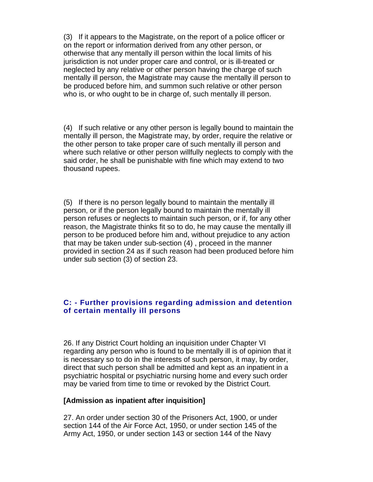(3) If it appears to the Magistrate, on the report of a police officer or on the report or information derived from any other person, or otherwise that any mentally ill person within the local limits of his jurisdiction is not under proper care and control, or is ill-treated or neglected by any relative or other person having the charge of such mentally ill person, the Magistrate may cause the mentally ill person to be produced before him, and summon such relative or other person who is, or who ought to be in charge of, such mentally ill person.

(4) If such relative or any other person is legally bound to maintain the mentally ill person, the Magistrate may, by order, require the relative or the other person to take proper care of such mentally ill person and where such relative or other person willfully neglects to comply with the said order, he shall be punishable with fine which may extend to two thousand rupees.

(5) If there is no person legally bound to maintain the mentally ill person, or if the person legally bound to maintain the mentally ill person refuses or neglects to maintain such person, or if, for any other reason, the Magistrate thinks fit so to do, he may cause the mentally ill person to be produced before him and, without prejudice to any action that may be taken under sub-section (4) , proceed in the manner provided in section 24 as if such reason had been produced before him under sub section (3) of section 23.

### **C: - Further provisions regarding admission and detention of certain mentally ill persons**

26. If any District Court holding an inquisition under Chapter VI regarding any person who is found to be mentally ill is of opinion that it is necessary so to do in the interests of such person, it may, by order, direct that such person shall be admitted and kept as an inpatient in a psychiatric hospital or psychiatric nursing home and every such order may be varied from time to time or revoked by the District Court.

#### **[Admission as inpatient after inquisition]**

27. An order under section 30 of the Prisoners Act, 1900, or under section 144 of the Air Force Act, 1950, or under section 145 of the Army Act, 1950, or under section 143 or section 144 of the Navy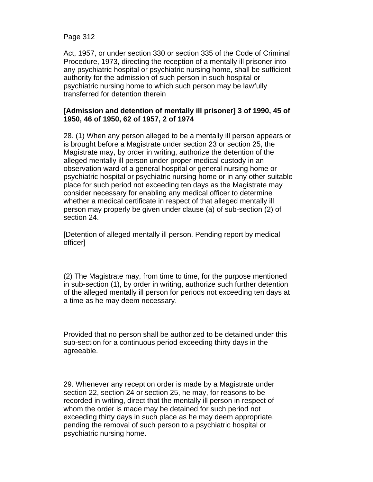Page 312

Act, 1957, or under section 330 or section 335 of the Code of Criminal Procedure, 1973, directing the reception of a mentally ill prisoner into any psychiatric hospital or psychiatric nursing home, shall be sufficient authority for the admission of such person in such hospital or psychiatric nursing home to which such person may be lawfully transferred for detention therein

### **[Admission and detention of mentally ill prisoner] 3 of 1990, 45 of 1950, 46 of 1950, 62 of 1957, 2 of 1974**

28. (1) When any person alleged to be a mentally ill person appears or is brought before a Magistrate under section 23 or section 25, the Magistrate may, by order in writing, authorize the detention of the alleged mentally ill person under proper medical custody in an observation ward of a general hospital or general nursing home or psychiatric hospital or psychiatric nursing home or in any other suitable place for such period not exceeding ten days as the Magistrate may consider necessary for enabling any medical officer to determine whether a medical certificate in respect of that alleged mentally ill person may properly be given under clause (a) of sub-section (2) of section 24.

[Detention of alleged mentally ill person. Pending report by medical officer]

(2) The Magistrate may, from time to time, for the purpose mentioned in sub-section (1), by order in writing, authorize such further detention of the alleged mentally ill person for periods not exceeding ten days at a time as he may deem necessary.

Provided that no person shall be authorized to be detained under this sub-section for a continuous period exceeding thirty days in the agreeable.

29. Whenever any reception order is made by a Magistrate under section 22, section 24 or section 25, he may, for reasons to be recorded in writing, direct that the mentally ill person in respect of whom the order is made may be detained for such period not exceeding thirty days in such place as he may deem appropriate, pending the removal of such person to a psychiatric hospital or psychiatric nursing home.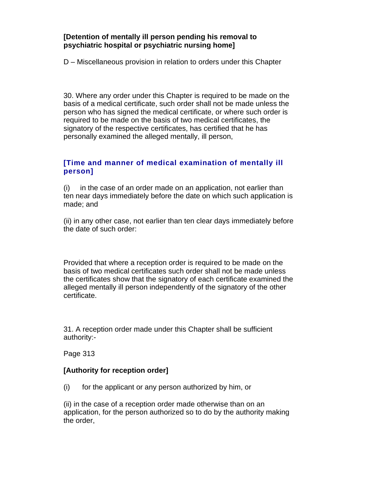### **[Detention of mentally ill person pending his removal to psychiatric hospital or psychiatric nursing home]**

D – Miscellaneous provision in relation to orders under this Chapter

30. Where any order under this Chapter is required to be made on the basis of a medical certificate, such order shall not be made unless the person who has signed the medical certificate, or where such order is required to be made on the basis of two medical certificates, the signatory of the respective certificates, has certified that he has personally examined the alleged mentally, ill person,

## **[Time and manner of medical examination of mentally ill person]**

(i) in the case of an order made on an application, not earlier than ten near days immediately before the date on which such application is made; and

(ii) in any other case, not earlier than ten clear days immediately before the date of such order:

Provided that where a reception order is required to be made on the basis of two medical certificates such order shall not be made unless the certificates show that the signatory of each certificate examined the alleged mentally ill person independently of the signatory of the other certificate.

31. A reception order made under this Chapter shall be sufficient authority:-

Page 313

### **[Authority for reception order]**

(i) for the applicant or any person authorized by him, or

(ii) in the case of a reception order made otherwise than on an application, for the person authorized so to do by the authority making the order,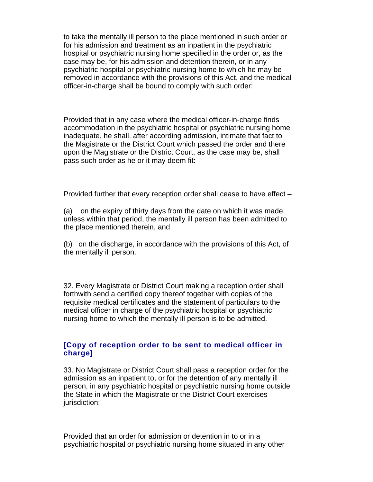to take the mentally ill person to the place mentioned in such order or for his admission and treatment as an inpatient in the psychiatric hospital or psychiatric nursing home specified in the order or, as the case may be, for his admission and detention therein, or in any psychiatric hospital or psychiatric nursing home to which he may be removed in accordance with the provisions of this Act, and the medical officer-in-charge shall be bound to comply with such order:

Provided that in any case where the medical officer-in-charge finds accommodation in the psychiatric hospital or psychiatric nursing home inadequate, he shall, after according admission, intimate that fact to the Magistrate or the District Court which passed the order and there upon the Magistrate or the District Court, as the case may be, shall pass such order as he or it may deem fit:

Provided further that every reception order shall cease to have effect –

(a) on the expiry of thirty days from the date on which it was made, unless within that period, the mentally ill person has been admitted to the place mentioned therein, and

(b) on the discharge, in accordance with the provisions of this Act, of the mentally ill person.

32. Every Magistrate or District Court making a reception order shall forthwith send a certified copy thereof together with copies of the requisite medical certificates and the statement of particulars to the medical officer in charge of the psychiatric hospital or psychiatric nursing home to which the mentally ill person is to be admitted.

### **[Copy of reception order to be sent to medical officer in charge]**

33. No Magistrate or District Court shall pass a reception order for the admission as an inpatient to, or for the detention of any mentally ill person, in any psychiatric hospital or psychiatric nursing home outside the State in which the Magistrate or the District Court exercises jurisdiction:

Provided that an order for admission or detention in to or in a psychiatric hospital or psychiatric nursing home situated in any other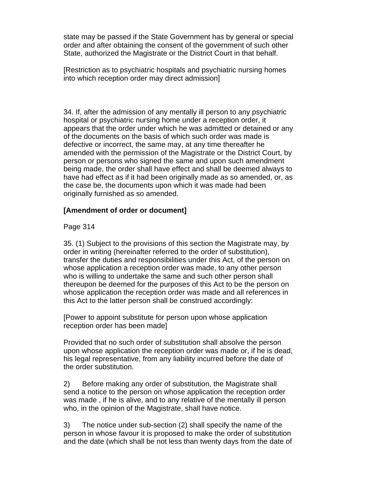state may be passed if the State Government has by general or special order and after obtaining the consent of the government of such other State, authorized the Magistrate or the District Court in that behalf.

[Restriction as to psychiatric hospitals and psychiatric nursing homes into which reception order may direct admission]

34. If, after the admission of any mentally ill person to any psychiatric hospital or psychiatric nursing home under a reception order, it appears that the order under which he was admitted or detained or any of the documents on the basis of which such order was made is defective or incorrect, the same may, at any time thereafter he amended with the permission of the Magistrate or the District Court, by person or persons who signed the same and upon such amendment being made, the order shall have effect and shall be deemed always to have had effect as if it had been originally made as so amended, or, as the case be, the documents upon which it was made had been originally furnished as so amended.

### **[Amendment of order or document]**

Page 314

35. (1) Subject to the provisions of this section the Magistrate may, by order in writing (hereinafter referred to the order of substitution), transfer the duties and responsibilities under this Act, of the person on whose application a reception order was made, to any other person who is willing to undertake the same and such other person shall thereupon be deemed for the purposes of this Act to be the person on whose application the reception order was made and all references in this Act to the latter person shall be construed accordingly:

[Power to appoint substitute for person upon whose application reception order has been made]

Provided that no such order of substitution shall absolve the person upon whose application the reception order was made or, if he is dead, his legal representative, from any liability incurred before the date of the order substitution.

2) Before making any order of substitution, the Magistrate shall send a notice to the person on whose application the reception order was made , if he is alive, and to any relative of the mentally ill person who, in the opinion of the Magistrate, shall have notice.

3) The notice under sub-section (2) shall specify the name of the person in whose favour it is proposed to make the order of substitution and the date (which shall be not less than twenty days from the date of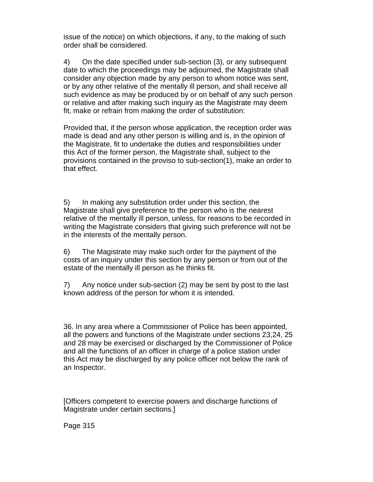issue of the notice) on which objections, if any, to the making of such order shall be considered.

4) On the date specified under sub-section (3), or any subsequent date to which the proceedings may be adjourned, the Magistrate shall consider any objection made by any person to whom notice was sent, or by any other relative of the mentally ill person, and shall receive all such evidence as may be produced by or on behalf of any such person or relative and after making such inquiry as the Magistrate may deem fit, make or refrain from making the order of substitution:

Provided that, if the person whose application, the reception order was made is dead and any other person is willing and is, in the opinion of the Magistrate, fit to undertake the duties and responsibilities under this Act of the former person, the Magistrate shall, subject to the provisions contained in the proviso to sub-section(1), make an order to that effect.

5) In making any substitution order under this section, the Magistrate shall give preference to the person who is the nearest relative of the mentally ill person, unless, for reasons to be recorded in writing the Magistrate considers that giving such preference will not be in the interests of the mentally person.

6) The Magistrate may make such order for the payment of the costs of an inquiry under this section by any person or from out of the estate of the mentally ill person as he thinks fit.

7) Any notice under sub-section (2) may be sent by post to the last known address of the person for whom it is intended.

36. In any area where a Commissioner of Police has been appointed, all the powers and functions of the Magistrate under sections 23,24, 25 and 28 may be exercised or discharged by the Commissioner of Police and all the functions of an officer in charge of a police station under this Act may be discharged by any police officer not below the rank of an Inspector.

[Officers competent to exercise powers and discharge functions of Magistrate under certain sections.]

Page 315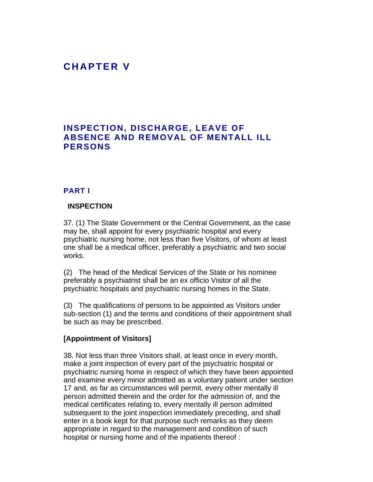# **C H A P T E R V**

## **INSPECTION, DISCHARGE, LEAVE OF ABSENCE AND REMOVAL OF MENTALL ILL PERSONS**

#### **PART I**

#### **INSPECTION**

37. (1) The State Government or the Central Government, as the case may be, shall appoint for every psychiatric hospital and every psychiatric nursing home, not less than five Visitors, of whom at least one shall be a medical officer, preferably a psychiatric and two social works.

(2) The head of the Medical Services of the State or his nominee preferably a psychiatrist shall be an ex officio Visitor of all the psychiatric hospitals and psychiatric nursing homes in the State.

(3) The qualifications of persons to be appointed as Visitors under sub-section (1) and the terms and conditions of their appointment shall be such as may be prescribed.

#### **[Appointment of Visitors]**

38. Not less than three Visitors shall, at least once in every month, make a joint inspection of every part of the psychiatric hospital or psychiatric nursing home in respect of which they have been appointed and examine every minor admitted as a voluntary patient under section 17 and, as far as circumstances will permit, every other mentally ill person admitted therein and the order for the admission of, and the medical certificates relating to, every mentally ill person admitted subsequent to the joint inspection immediately preceding, and shall enter in a book kept for that purpose such remarks as they deem appropriate in regard to the management and condition of such hospital or nursing home and of the inpatients thereof :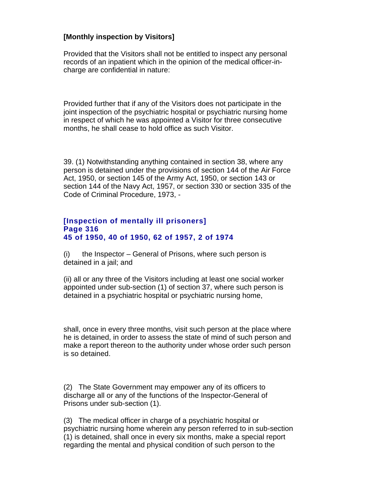## **[Monthly inspection by Visitors]**

Provided that the Visitors shall not be entitled to inspect any personal records of an inpatient which in the opinion of the medical officer-incharge are confidential in nature:

Provided further that if any of the Visitors does not participate in the joint inspection of the psychiatric hospital or psychiatric nursing home in respect of which he was appointed a Visitor for three consecutive months, he shall cease to hold office as such Visitor.

39. (1) Notwithstanding anything contained in section 38, where any person is detained under the provisions of section 144 of the Air Force Act, 1950, or section 145 of the Army Act, 1950, or section 143 or section 144 of the Navy Act, 1957, or section 330 or section 335 of the Code of Criminal Procedure, 1973, -

#### **[Inspection of mentally ill prisoners] Page 316 45 of 1950, 40 of 1950, 62 of 1957, 2 of 1974**

(i) the Inspector – General of Prisons, where such person is detained in a jail; and

(ii) all or any three of the Visitors including at least one social worker appointed under sub-section (1) of section 37, where such person is detained in a psychiatric hospital or psychiatric nursing home,

shall, once in every three months, visit such person at the place where he is detained, in order to assess the state of mind of such person and make a report thereon to the authority under whose order such person is so detained.

(2) The State Government may empower any of its officers to discharge all or any of the functions of the Inspector-General of Prisons under sub-section (1).

(3) The medical officer in charge of a psychiatric hospital or psychiatric nursing home wherein any person referred to in sub-section (1) is detained, shall once in every six months, make a special report regarding the mental and physical condition of such person to the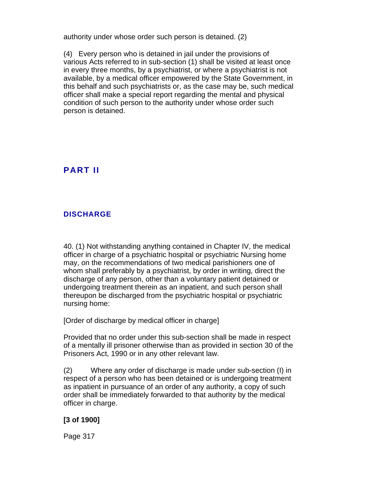authority under whose order such person is detained. (2)

(4) Every person who is detained in jail under the provisions of various Acts referred to in sub-section (1) shall be visited at least once in every three months, by a psychiatrist, or where a psychiatrist is not available, by a medical officer empowered by the State Government, in this behalf and such psychiatrists or, as the case may be, such medical officer shall make a special report regarding the mental and physical condition of such person to the authority under whose order such person is detained.

## **PART II**

## **DISCHARGE**

40. (1) Not withstanding anything contained in Chapter IV, the medical officer in charge of a psychiatric hospital or psychiatric Nursing home may, on the recommendations of two medical parishioners one of whom shall preferably by a psychiatrist, by order in writing, direct the discharge of any person, other than a voluntary patient detained or undergoing treatment therein as an inpatient, and such person shall thereupon be discharged from the psychiatric hospital or psychiatric nursing home:

[Order of discharge by medical officer in charge]

Provided that no order under this sub-section shall be made in respect of a mentally ill prisoner otherwise than as provided in section 30 of the Prisoners Act, 1990 or in any other relevant law.

(2) Where any order of discharge is made under sub-section (I) in respect of a person who has been detained or is undergoing treatment as inpatient in pursuance of an order of any authority, a copy of such order shall be immediately forwarded to that authority by the medical officer in charge.

### **[3 of 1900]**

Page 317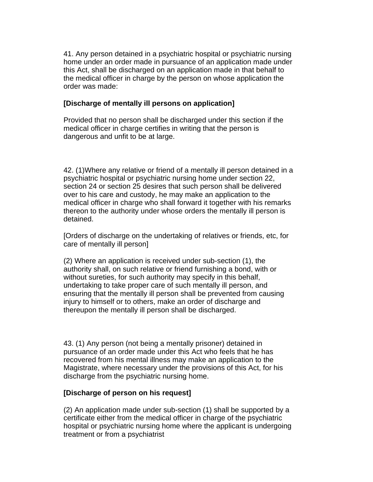41. Any person detained in a psychiatric hospital or psychiatric nursing home under an order made in pursuance of an application made under this Act, shall be discharged on an application made in that behalf to the medical officer in charge by the person on whose application the order was made:

### **[Discharge of mentally ill persons on application]**

Provided that no person shall be discharged under this section if the medical officer in charge certifies in writing that the person is dangerous and unfit to be at large.

42. (1)Where any relative or friend of a mentally ill person detained in a psychiatric hospital or psychiatric nursing home under section 22, section 24 or section 25 desires that such person shall be delivered over to his care and custody, he may make an application to the medical officer in charge who shall forward it together with his remarks thereon to the authority under whose orders the mentally ill person is detained.

[Orders of discharge on the undertaking of relatives or friends, etc, for care of mentally ill person]

(2) Where an application is received under sub-section (1), the authority shall, on such relative or friend furnishing a bond, with or without sureties, for such authority may specify in this behalf, undertaking to take proper care of such mentally ill person, and ensuring that the mentally ill person shall be prevented from causing injury to himself or to others, make an order of discharge and thereupon the mentally ill person shall be discharged.

43. (1) Any person (not being a mentally prisoner) detained in pursuance of an order made under this Act who feels that he has recovered from his mental illness may make an application to the Magistrate, where necessary under the provisions of this Act, for his discharge from the psychiatric nursing home.

#### **[Discharge of person on his request]**

(2) An application made under sub-section (1) shall be supported by a certificate either from the medical officer in charge of the psychiatric hospital or psychiatric nursing home where the applicant is undergoing treatment or from a psychiatrist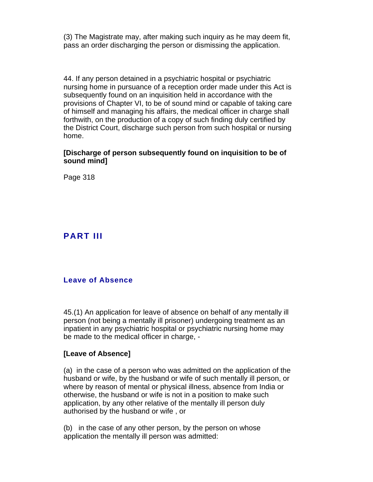(3) The Magistrate may, after making such inquiry as he may deem fit, pass an order discharging the person or dismissing the application.

44. If any person detained in a psychiatric hospital or psychiatric nursing home in pursuance of a reception order made under this Act is subsequently found on an inquisition held in accordance with the provisions of Chapter VI, to be of sound mind or capable of taking care of himself and managing his affairs, the medical officer in charge shall forthwith, on the production of a copy of such finding duly certified by the District Court, discharge such person from such hospital or nursing home.

### **[Discharge of person subsequently found on inquisition to be of sound mind]**

Page 318

## **PART III**

#### **Leave of Absence**

45.(1) An application for leave of absence on behalf of any mentally ill person (not being a mentally ill prisoner) undergoing treatment as an inpatient in any psychiatric hospital or psychiatric nursing home may be made to the medical officer in charge, -

#### **[Leave of Absence]**

(a) in the case of a person who was admitted on the application of the husband or wife, by the husband or wife of such mentally ill person, or where by reason of mental or physical illness, absence from India or otherwise, the husband or wife is not in a position to make such application, by any other relative of the mentally ill person duly authorised by the husband or wife , or

(b) in the case of any other person, by the person on whose application the mentally ill person was admitted: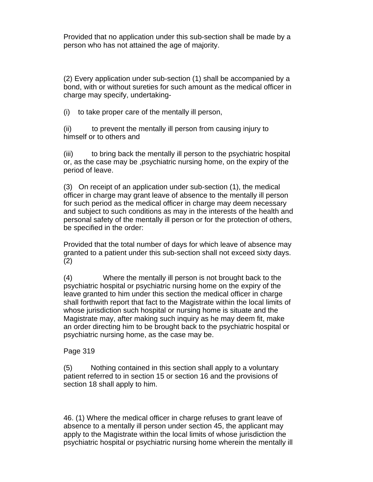Provided that no application under this sub-section shall be made by a person who has not attained the age of majority.

(2) Every application under sub-section (1) shall be accompanied by a bond, with or without sureties for such amount as the medical officer in charge may specify, undertaking-

(i) to take proper care of the mentally ill person,

(ii) to prevent the mentally ill person from causing injury to himself or to others and

(iii) to bring back the mentally ill person to the psychiatric hospital or, as the case may be ,psychiatric nursing home, on the expiry of the period of leave.

(3) On receipt of an application under sub-section (1), the medical officer in charge may grant leave of absence to the mentally ill person for such period as the medical officer in charge may deem necessary and subject to such conditions as may in the interests of the health and personal safety of the mentally ill person or for the protection of others, be specified in the order:

Provided that the total number of days for which leave of absence may granted to a patient under this sub-section shall not exceed sixty days. (2)

(4) Where the mentally ill person is not brought back to the psychiatric hospital or psychiatric nursing home on the expiry of the leave granted to him under this section the medical officer in charge shall forthwith report that fact to the Magistrate within the local limits of whose jurisdiction such hospital or nursing home is situate and the Magistrate may, after making such inquiry as he may deem fit, make an order directing him to be brought back to the psychiatric hospital or psychiatric nursing home, as the case may be.

### Page 319

(5) Nothing contained in this section shall apply to a voluntary patient referred to in section 15 or section 16 and the provisions of section 18 shall apply to him.

46. (1) Where the medical officer in charge refuses to grant leave of absence to a mentally ill person under section 45, the applicant may apply to the Magistrate within the local limits of whose jurisdiction the psychiatric hospital or psychiatric nursing home wherein the mentally ill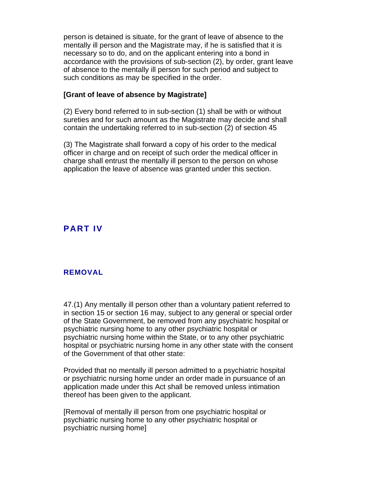person is detained is situate, for the grant of leave of absence to the mentally ill person and the Magistrate may, if he is satisfied that it is necessary so to do, and on the applicant entering into a bond in accordance with the provisions of sub-section (2), by order, grant leave of absence to the mentally ill person for such period and subject to such conditions as may be specified in the order.

#### **[Grant of leave of absence by Magistrate]**

(2) Every bond referred to in sub-section (1) shall be with or without sureties and for such amount as the Magistrate may decide and shall contain the undertaking referred to in sub-section (2) of section 45

(3) The Magistrate shall forward a copy of his order to the medical officer in charge and on receipt of such order the medical officer in charge shall entrust the mentally ill person to the person on whose application the leave of absence was granted under this section.

## **PART IV**

### **REMOVAL**

47.(1) Any mentally ill person other than a voluntary patient referred to in section 15 or section 16 may, subject to any general or special order of the State Government, be removed from any psychiatric hospital or psychiatric nursing home to any other psychiatric hospital or psychiatric nursing home within the State, or to any other psychiatric hospital or psychiatric nursing home in any other state with the consent of the Government of that other state:

Provided that no mentally ill person admitted to a psychiatric hospital or psychiatric nursing home under an order made in pursuance of an application made under this Act shall be removed unless intimation thereof has been given to the applicant.

[Removal of mentally ill person from one psychiatric hospital or psychiatric nursing home to any other psychiatric hospital or psychiatric nursing home]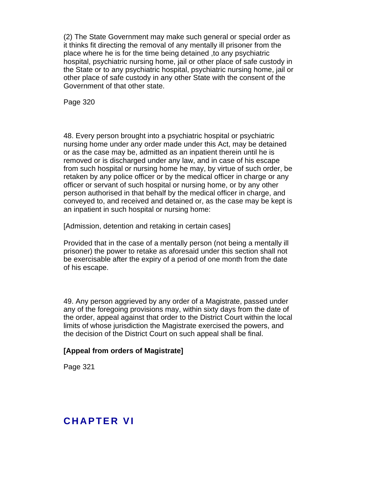(2) The State Government may make such general or special order as it thinks fit directing the removal of any mentally ill prisoner from the place where he is for the time being detained ,to any psychiatric hospital, psychiatric nursing home, jail or other place of safe custody in the State or to any psychiatric hospital, psychiatric nursing home, jail or other place of safe custody in any other State with the consent of the Government of that other state.

Page 320

48. Every person brought into a psychiatric hospital or psychiatric nursing home under any order made under this Act, may be detained or as the case may be, admitted as an inpatient therein until he is removed or is discharged under any law, and in case of his escape from such hospital or nursing home he may, by virtue of such order, be retaken by any police officer or by the medical officer in charge or any officer or servant of such hospital or nursing home, or by any other person authorised in that behalf by the medical officer in charge, and conveyed to, and received and detained or, as the case may be kept is an inpatient in such hospital or nursing home:

[Admission, detention and retaking in certain cases]

Provided that in the case of a mentally person (not being a mentally ill prisoner) the power to retake as aforesaid under this section shall not be exercisable after the expiry of a period of one month from the date of his escape.

49. Any person aggrieved by any order of a Magistrate, passed under any of the foregoing provisions may, within sixty days from the date of the order, appeal against that order to the District Court within the local limits of whose jurisdiction the Magistrate exercised the powers, and the decision of the District Court on such appeal shall be final.

### **[Appeal from orders of Magistrate]**

Page 321

## **CHAPTER VI**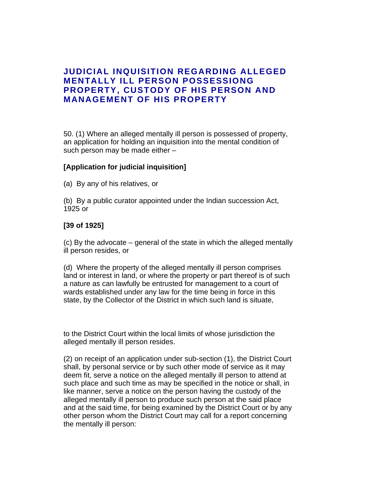## **JUDICIAL INQUISITION REGARDING ALLEGED MENTALLY ILL PERSON POSSESSIONG PROPERTY, CUSTODY OF HIS PERSON AND MANAGEMENT OF HIS PROPERTY**

50. (1) Where an alleged mentally ill person is possessed of property, an application for holding an inquisition into the mental condition of such person may be made either –

### **[Application for judicial inquisition]**

(a) By any of his relatives, or

(b) By a public curator appointed under the Indian succession Act, 1925 or

### **[39 of 1925]**

(c) By the advocate – general of the state in which the alleged mentally ill person resides, or

(d) Where the property of the alleged mentally ill person comprises land or interest in land, or where the property or part thereof is of such a nature as can lawfully be entrusted for management to a court of wards established under any law for the time being in force in this state, by the Collector of the District in which such land is situate,

to the District Court within the local limits of whose jurisdiction the alleged mentally ill person resides.

(2) on receipt of an application under sub-section (1), the District Court shall, by personal service or by such other mode of service as it may deem fit, serve a notice on the alleged mentally ill person to attend at such place and such time as may be specified in the notice or shall, in like manner, serve a notice on the person having the custody of the alleged mentally ill person to produce such person at the said place and at the said time, for being examined by the District Court or by any other person whom the District Court may call for a report concerning the mentally ill person: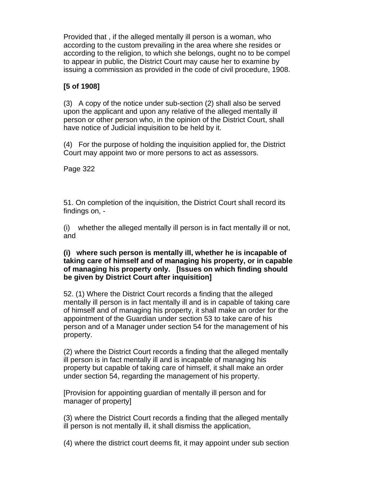Provided that , if the alleged mentally ill person is a woman, who according to the custom prevailing in the area where she resides or according to the religion, to which she belongs, ought no to be compel to appear in public, the District Court may cause her to examine by issuing a commission as provided in the code of civil procedure, 1908.

## **[5 of 1908]**

(3) A copy of the notice under sub-section (2) shall also be served upon the applicant and upon any relative of the alleged mentally ill person or other person who, in the opinion of the District Court, shall have notice of Judicial inquisition to be held by it.

(4) For the purpose of holding the inquisition applied for, the District Court may appoint two or more persons to act as assessors.

Page 322

51. On completion of the inquisition, the District Court shall record its findings on, -

(i) whether the alleged mentally ill person is in fact mentally ill or not, and

### **(i) where such person is mentally ill, whether he is incapable of taking care of himself and of managing his property, or in capable of managing his property only. [Issues on which finding should be given by District Court after inquisition]**

52. (1) Where the District Court records a finding that the alleged mentally ill person is in fact mentally ill and is in capable of taking care of himself and of managing his property, it shall make an order for the appointment of the Guardian under section 53 to take care of his person and of a Manager under section 54 for the management of his property.

(2) where the District Court records a finding that the alleged mentally ill person is in fact mentally ill and is incapable of managing his property but capable of taking care of himself, it shall make an order under section 54, regarding the management of his property.

[Provision for appointing guardian of mentally ill person and for manager of property]

(3) where the District Court records a finding that the alleged mentally ill person is not mentally ill, it shall dismiss the application,

(4) where the district court deems fit, it may appoint under sub section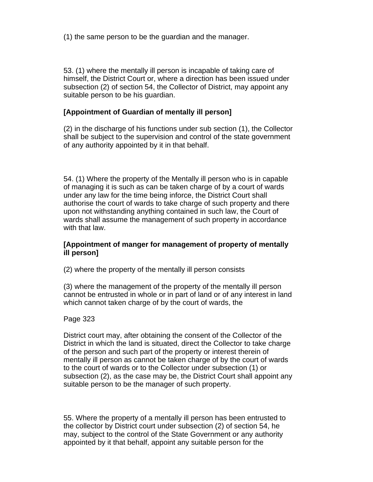(1) the same person to be the guardian and the manager.

53. (1) where the mentally ill person is incapable of taking care of himself, the District Court or, where a direction has been issued under subsection (2) of section 54, the Collector of District, may appoint any suitable person to be his guardian.

### **[Appointment of Guardian of mentally ill person]**

(2) in the discharge of his functions under sub section (1), the Collector shall be subject to the supervision and control of the state government of any authority appointed by it in that behalf.

54. (1) Where the property of the Mentally ill person who is in capable of managing it is such as can be taken charge of by a court of wards under any law for the time being inforce, the District Court shall authorise the court of wards to take charge of such property and there upon not withstanding anything contained in such law, the Court of wards shall assume the management of such property in accordance with that law.

#### **[Appointment of manger for management of property of mentally ill person]**

(2) where the property of the mentally ill person consists

(3) where the management of the property of the mentally ill person cannot be entrusted in whole or in part of land or of any interest in land which cannot taken charge of by the court of wards, the

#### Page 323

District court may, after obtaining the consent of the Collector of the District in which the land is situated, direct the Collector to take charge of the person and such part of the property or interest therein of mentally ill person as cannot be taken charge of by the court of wards to the court of wards or to the Collector under subsection (1) or subsection (2), as the case may be, the District Court shall appoint any suitable person to be the manager of such property.

55. Where the property of a mentally ill person has been entrusted to the collector by District court under subsection (2) of section 54, he may, subject to the control of the State Government or any authority appointed by it that behalf, appoint any suitable person for the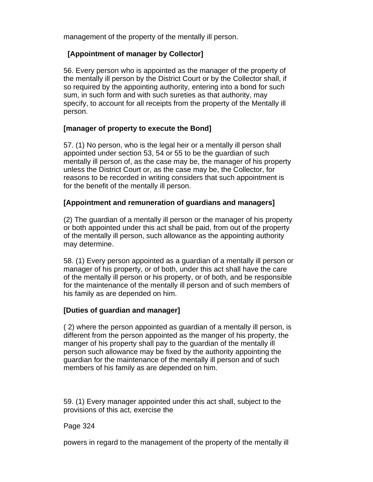management of the property of the mentally ill person.

## **[Appointment of manager by Collector]**

56. Every person who is appointed as the manager of the property of the mentally ill person by the District Court or by the Collector shall, if so required by the appointing authority, entering into a bond for such sum, in such form and with such sureties as that authority, may specify, to account for all receipts from the property of the Mentally ill person.

### **[manager of property to execute the Bond]**

57. (1) No person, who is the legal heir or a mentally ill person shall appointed under section 53, 54 or 55 to be the guardian of such mentally ill person of, as the case may be, the manager of his property unless the District Court or, as the case may be, the Collector, for reasons to be recorded in writing considers that such appointment is for the benefit of the mentally ill person.

### **[Appointment and remuneration of guardians and managers]**

(2) The guardian of a mentally ill person or the manager of his property or both appointed under this act shall be paid, from out of the property of the mentally ill person, such allowance as the appointing authority may determine.

58. (1) Every person appointed as a guardian of a mentally ill person or manager of his property, or of both, under this act shall have the care of the mentally ill person or his property, or of both, and be responsible for the maintenance of the mentally ill person and of such members of his family as are depended on him.

### **[Duties of guardian and manager]**

( 2) where the person appointed as guardian of a mentally ill person, is different from the person appointed as the manger of his property, the manger of his property shall pay to the guardian of the mentally ill person such allowance may be fixed by the authority appointing the guardian for the maintenance of the mentally ill person and of such members of his family as are depended on him.

59. (1) Every manager appointed under this act shall, subject to the provisions of this act, exercise the

### Page 324

powers in regard to the management of the property of the mentally ill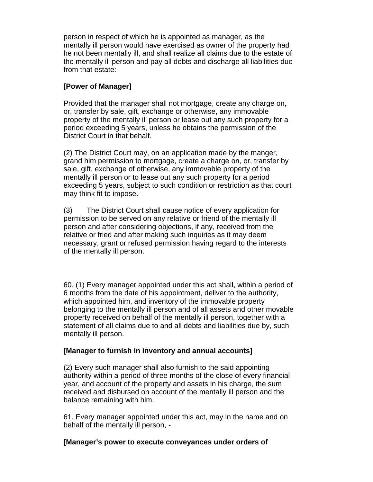person in respect of which he is appointed as manager, as the mentally ill person would have exercised as owner of the property had he not been mentally ill, and shall realize all claims due to the estate of the mentally ill person and pay all debts and discharge all liabilities due from that estate:

### **[Power of Manager]**

Provided that the manager shall not mortgage, create any charge on, or, transfer by sale, gift, exchange or otherwise, any immovable property of the mentally ill person or lease out any such property for a period exceeding 5 years, unless he obtains the permission of the District Court in that behalf.

(2) The District Court may, on an application made by the manger, grand him permission to mortgage, create a charge on, or, transfer by sale, gift, exchange of otherwise, any immovable property of the mentally ill person or to lease out any such property for a period exceeding 5 years, subject to such condition or restriction as that court may think fit to impose.

(3) The District Court shall cause notice of every application for permission to be served on any relative or friend of the mentally ill person and after considering objections, if any, received from the relative or fried and after making such inquiries as it may deem necessary, grant or refused permission having regard to the interests of the mentally ill person.

60. (1) Every manager appointed under this act shall, within a period of 6 months from the date of his appointment, deliver to the authority, which appointed him, and inventory of the immovable property belonging to the mentally ill person and of all assets and other movable property received on behalf of the mentally ill person, together with a statement of all claims due to and all debts and liabilities due by, such mentally ill person.

### **[Manager to furnish in inventory and annual accounts]**

(2) Every such manager shall also furnish to the said appointing authority within a period of three months of the close of every financial year, and account of the property and assets in his charge, the sum received and disbursed on account of the mentally ill person and the balance remaining with him.

61. Every manager appointed under this act, may in the name and on behalf of the mentally ill person, -

#### **[Manager's power to execute conveyances under orders of**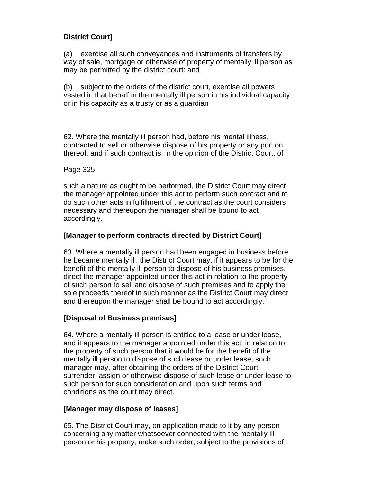## **District Court]**

(a) exercise all such conveyances and instruments of transfers by way of sale, mortgage or otherwise of property of mentally ill person as may be permitted by the district court: and

(b) subject to the orders of the district court, exercise all powers vested in that behalf in the mentally ill person in his individual capacity or in his capacity as a trusty or as a guardian

62. Where the mentally ill person had, before his mental illness, contracted to sell or otherwise dispose of his property or any portion thereof, and if such contract is, in the opinion of the District Court, of

## Page 325

such a nature as ought to be performed, the District Court may direct the manager appointed under this act to perform such contract and to do such other acts in fulfillment of the contract as the court considers necessary and thereupon the manager shall be bound to act accordingly.

## **[Manager to perform contracts directed by District Court]**

63. Where a mentally ill person had been engaged in business before he became mentally ill, the District Court may, if it appears to be for the benefit of the mentally ill person to dispose of his business premises, direct the manager appointed under this act in relation to the property of such person to sell and dispose of such premises and to apply the sale proceeds thereof in such manner as the District Court may direct and thereupon the manager shall be bound to act accordingly.

## **[Disposal of Business premises]**

64. Where a mentally ill person is entitled to a lease or under lease, and it appears to the manager appointed under this act, in relation to the property of such person that it would be for the benefit of the mentally ill person to dispose of such lease or under lease, such manager may, after obtaining the orders of the District Court, surrender, assign or otherwise dispose of such lease or under lease to such person for such consideration and upon such terms and conditions as the court may direct.

## **[Manager may dispose of leases]**

65. The District Court may, on application made to it by any person concerning any matter whatsoever connected with the mentally ill person or his property, make such order, subject to the provisions of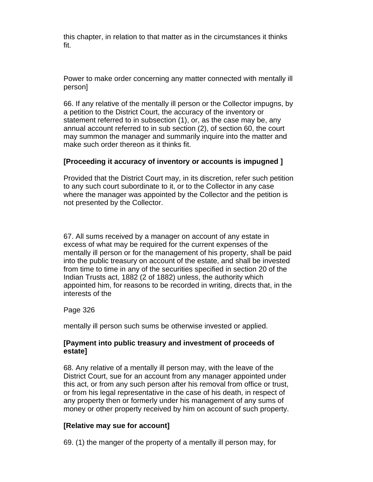this chapter, in relation to that matter as in the circumstances it thinks fit.

Power to make order concerning any matter connected with mentally ill person]

66. If any relative of the mentally ill person or the Collector impugns, by a petition to the District Court, the accuracy of the inventory or statement referred to in subsection (1), or, as the case may be, any annual account referred to in sub section (2), of section 60, the court may summon the manager and summarily inquire into the matter and make such order thereon as it thinks fit.

### **[Proceeding it accuracy of inventory or accounts is impugned ]**

Provided that the District Court may, in its discretion, refer such petition to any such court subordinate to it, or to the Collector in any case where the manager was appointed by the Collector and the petition is not presented by the Collector.

67. All sums received by a manager on account of any estate in excess of what may be required for the current expenses of the mentally ill person or for the management of his property, shall be paid into the public treasury on account of the estate, and shall be invested from time to time in any of the securities specified in section 20 of the Indian Trusts act, 1882 (2 of 1882) unless, the authority which appointed him, for reasons to be recorded in writing, directs that, in the interests of the

Page 326

mentally ill person such sums be otherwise invested or applied.

### **[Payment into public treasury and investment of proceeds of estate]**

68. Any relative of a mentally ill person may, with the leave of the District Court, sue for an account from any manager appointed under this act, or from any such person after his removal from office or trust, or from his legal representative in the case of his death, in respect of any property then or formerly under his management of any sums of money or other property received by him on account of such property.

#### **[Relative may sue for account]**

69. (1) the manger of the property of a mentally ill person may, for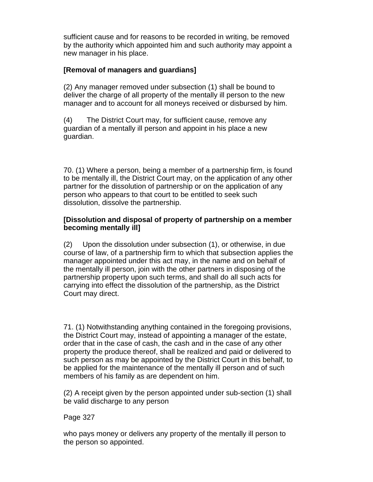sufficient cause and for reasons to be recorded in writing, be removed by the authority which appointed him and such authority may appoint a new manager in his place.

## **[Removal of managers and guardians]**

(2) Any manager removed under subsection (1) shall be bound to deliver the charge of all property of the mentally ill person to the new manager and to account for all moneys received or disbursed by him.

(4) The District Court may, for sufficient cause, remove any guardian of a mentally ill person and appoint in his place a new guardian.

70. (1) Where a person, being a member of a partnership firm, is found to be mentally ill, the District Court may, on the application of any other partner for the dissolution of partnership or on the application of any person who appears to that court to be entitled to seek such dissolution, dissolve the partnership.

### **[Dissolution and disposal of property of partnership on a member becoming mentally ill]**

(2) Upon the dissolution under subsection (1), or otherwise, in due course of law, of a partnership firm to which that subsection applies the manager appointed under this act may, in the name and on behalf of the mentally ill person, join with the other partners in disposing of the partnership property upon such terms, and shall do all such acts for carrying into effect the dissolution of the partnership, as the District Court may direct.

71. (1) Notwithstanding anything contained in the foregoing provisions, the District Court may, instead of appointing a manager of the estate, order that in the case of cash, the cash and in the case of any other property the produce thereof, shall be realized and paid or delivered to such person as may be appointed by the District Court in this behalf, to be applied for the maintenance of the mentally ill person and of such members of his family as are dependent on him.

(2) A receipt given by the person appointed under sub-section (1) shall be valid discharge to any person

### Page 327

who pays money or delivers any property of the mentally ill person to the person so appointed.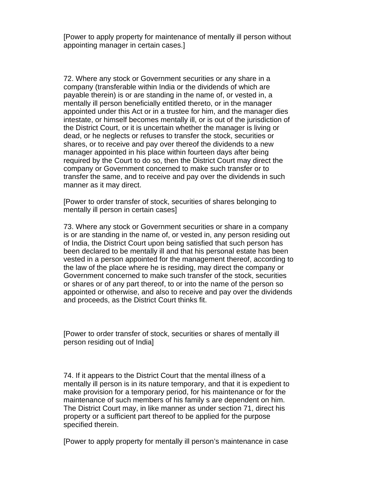[Power to apply property for maintenance of mentally ill person without appointing manager in certain cases.]

72. Where any stock or Government securities or any share in a company (transferable within India or the dividends of which are payable therein) is or are standing in the name of, or vested in, a mentally ill person beneficially entitled thereto, or in the manager appointed under this Act or in a trustee for him, and the manager dies intestate, or himself becomes mentally ill, or is out of the jurisdiction of the District Court, or it is uncertain whether the manager is living or dead, or he neglects or refuses to transfer the stock, securities or shares, or to receive and pay over thereof the dividends to a new manager appointed in his place within fourteen days after being required by the Court to do so, then the District Court may direct the company or Government concerned to make such transfer or to transfer the same, and to receive and pay over the dividends in such manner as it may direct.

[Power to order transfer of stock, securities of shares belonging to mentally ill person in certain cases]

73. Where any stock or Government securities or share in a company is or are standing in the name of, or vested in, any person residing out of India, the District Court upon being satisfied that such person has been declared to be mentally ill and that his personal estate has been vested in a person appointed for the management thereof, according to the law of the place where he is residing, may direct the company or Government concerned to make such transfer of the stock, securities or shares or of any part thereof, to or into the name of the person so appointed or otherwise, and also to receive and pay over the dividends and proceeds, as the District Court thinks fit.

[Power to order transfer of stock, securities or shares of mentally ill person residing out of India]

74. If it appears to the District Court that the mental illness of a mentally ill person is in its nature temporary, and that it is expedient to make provision for a temporary period, for his maintenance or for the maintenance of such members of his family s are dependent on him. The District Court may, in like manner as under section 71, direct his property or a sufficient part thereof to be applied for the purpose specified therein.

[Power to apply property for mentally ill person's maintenance in case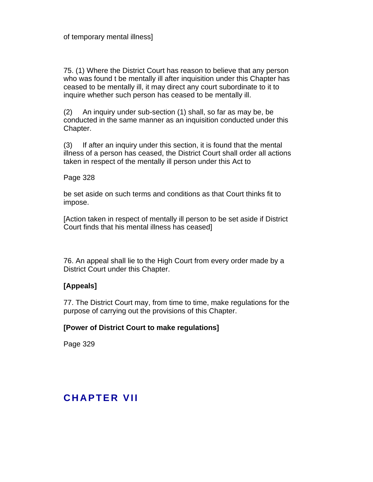75. (1) Where the District Court has reason to believe that any person who was found t be mentally ill after inquisition under this Chapter has ceased to be mentally ill, it may direct any court subordinate to it to inquire whether such person has ceased to be mentally ill.

(2) An inquiry under sub-section (1) shall, so far as may be, be conducted in the same manner as an inquisition conducted under this Chapter.

(3) If after an inquiry under this section, it is found that the mental illness of a person has ceased, the District Court shall order all actions taken in respect of the mentally ill person under this Act to

### Page 328

be set aside on such terms and conditions as that Court thinks fit to impose.

[Action taken in respect of mentally ill person to be set aside if District Court finds that his mental illness has ceased]

76. An appeal shall lie to the High Court from every order made by a District Court under this Chapter.

### **[Appeals]**

77. The District Court may, from time to time, make regulations for the purpose of carrying out the provisions of this Chapter.

### **[Power of District Court to make regulations]**

Page 329

# **CHAPTER VII**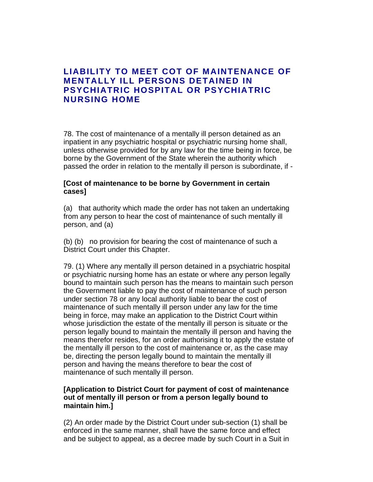## **LIABILITY TO MEET COT OF MAINTENANCE OF MENTALLY ILL PERSONS DETAINED IN PSYCHIATRIC HOSPITAL OR PSYCHIATRIC NURSING HOME**

78. The cost of maintenance of a mentally ill person detained as an inpatient in any psychiatric hospital or psychiatric nursing home shall, unless otherwise provided for by any law for the time being in force, be borne by the Government of the State wherein the authority which passed the order in relation to the mentally ill person is subordinate, if -

#### **[Cost of maintenance to be borne by Government in certain cases]**

(a) that authority which made the order has not taken an undertaking from any person to hear the cost of maintenance of such mentally ill person, and (a)

(b) (b) no provision for bearing the cost of maintenance of such a District Court under this Chapter.

79. (1) Where any mentally ill person detained in a psychiatric hospital or psychiatric nursing home has an estate or where any person legally bound to maintain such person has the means to maintain such person the Government liable to pay the cost of maintenance of such person under section 78 or any local authority liable to bear the cost of maintenance of such mentally ill person under any law for the time being in force, may make an application to the District Court within whose jurisdiction the estate of the mentally ill person is situate or the person legally bound to maintain the mentally ill person and having the means therefor resides, for an order authorising it to apply the estate of the mentally ill person to the cost of maintenance or, as the case may be, directing the person legally bound to maintain the mentally ill person and having the means therefore to bear the cost of maintenance of such mentally ill person.

### **[Application to District Court for payment of cost of maintenance out of mentally ill person or from a person legally bound to maintain him.]**

(2) An order made by the District Court under sub-section (1) shall be enforced in the same manner, shall have the same force and effect and be subject to appeal, as a decree made by such Court in a Suit in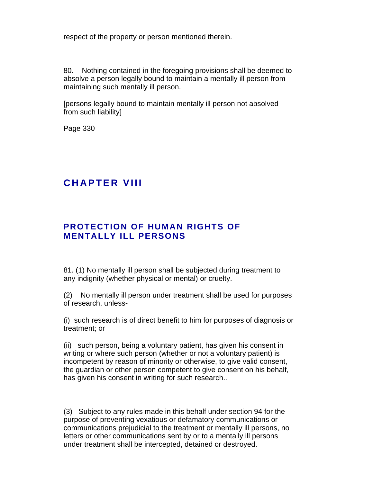respect of the property or person mentioned therein.

80. Nothing contained in the foregoing provisions shall be deemed to absolve a person legally bound to maintain a mentally ill person from maintaining such mentally ill person.

[persons legally bound to maintain mentally ill person not absolved from such liability]

Page 330

# **CHAPTER VIII**

## **PROTECTION OF HUMAN RIGHTS OF MENTALLY ILL PERSONS**

81. (1) No mentally ill person shall be subjected during treatment to any indignity (whether physical or mental) or cruelty.

(2) No mentally ill person under treatment shall be used for purposes of research, unless-

(i) such research is of direct benefit to him for purposes of diagnosis or treatment; or

(ii) such person, being a voluntary patient, has given his consent in writing or where such person (whether or not a voluntary patient) is incompetent by reason of minority or otherwise, to give valid consent, the guardian or other person competent to give consent on his behalf, has given his consent in writing for such research..

(3) Subject to any rules made in this behalf under section 94 for the purpose of preventing vexatious or defamatory communications or communications prejudicial to the treatment or mentally ill persons, no letters or other communications sent by or to a mentally ill persons under treatment shall be intercepted, detained or destroyed.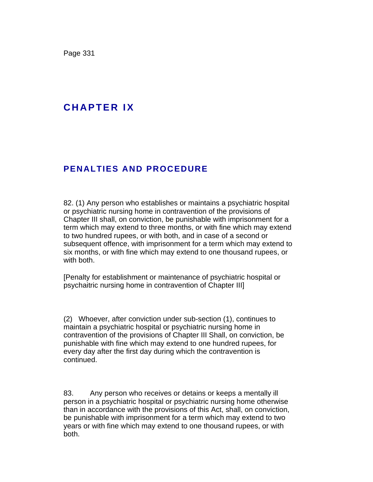Page 331

# **C H A P T E R I X**

## **PENALTIES AND PROCEDURE**

82. (1) Any person who establishes or maintains a psychiatric hospital or psychiatric nursing home in contravention of the provisions of Chapter III shall, on conviction, be punishable with imprisonment for a term which may extend to three months, or with fine which may extend to two hundred rupees, or with both, and in case of a second or subsequent offence, with imprisonment for a term which may extend to six months, or with fine which may extend to one thousand rupees, or with both.

[Penalty for establishment or maintenance of psychiatric hospital or psychaitric nursing home in contravention of Chapter III]

(2) Whoever, after conviction under sub-section (1), continues to maintain a psychiatric hospital or psychiatric nursing home in contravention of the provisions of Chapter III Shall, on conviction, be punishable with fine which may extend to one hundred rupees, for every day after the first day during which the contravention is continued.

83. Any person who receives or detains or keeps a mentally ill person in a psychiatric hospital or psychiatric nursing home otherwise than in accordance with the provisions of this Act, shall, on conviction, be punishable with imprisonment for a term which may extend to two years or with fine which may extend to one thousand rupees, or with both.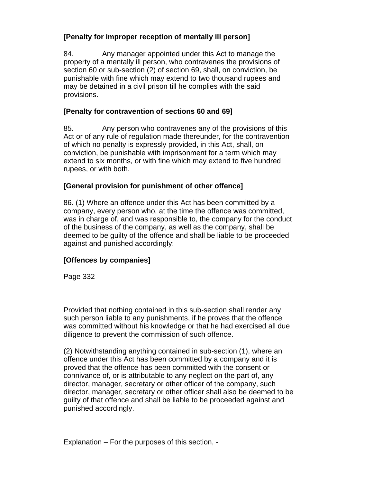## **[Penalty for improper reception of mentally ill person]**

84. Any manager appointed under this Act to manage the property of a mentally ill person, who contravenes the provisions of section 60 or sub-section (2) of section 69, shall, on conviction, be punishable with fine which may extend to two thousand rupees and may be detained in a civil prison till he complies with the said provisions.

## **[Penalty for contravention of sections 60 and 69]**

85. Any person who contravenes any of the provisions of this Act or of any rule of regulation made thereunder, for the contravention of which no penalty is expressly provided, in this Act, shall, on conviction, be punishable with imprisonment for a term which may extend to six months, or with fine which may extend to five hundred rupees, or with both.

## **[General provision for punishment of other offence]**

86. (1) Where an offence under this Act has been committed by a company, every person who, at the time the offence was committed, was in charge of, and was responsible to, the company for the conduct of the business of the company, as well as the company, shall be deemed to be guilty of the offence and shall be liable to be proceeded against and punished accordingly:

## **[Offences by companies]**

Page 332

Provided that nothing contained in this sub-section shall render any such person liable to any punishments, if he proves that the offence was committed without his knowledge or that he had exercised all due diligence to prevent the commission of such offence.

(2) Notwithstanding anything contained in sub-section (1), where an offence under this Act has been committed by a company and it is proved that the offence has been committed with the consent or connivance of, or is attributable to any neglect on the part of, any director, manager, secretary or other officer of the company, such director, manager, secretary or other officer shall also be deemed to be guilty of that offence and shall be liable to be proceeded against and punished accordingly.

Explanation – For the purposes of this section, -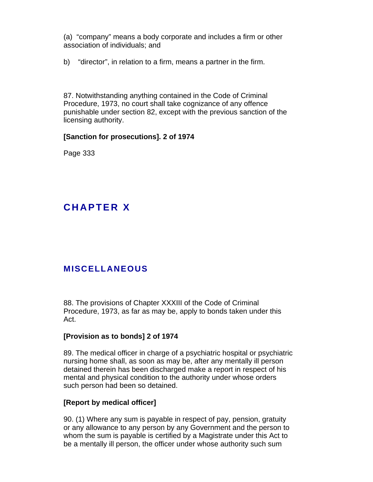(a) "company" means a body corporate and includes a firm or other association of individuals; and

b) "director", in relation to a firm, means a partner in the firm.

87. Notwithstanding anything contained in the Code of Criminal Procedure, 1973, no court shall take cognizance of any offence punishable under section 82, except with the previous sanction of the licensing authority.

### **[Sanction for prosecutions]. 2 of 1974**

Page 333

# **C H A P T E R X**

## **MISCELLANEOUS**

88. The provisions of Chapter XXXIII of the Code of Criminal Procedure, 1973, as far as may be, apply to bonds taken under this Act.

#### **[Provision as to bonds] 2 of 1974**

89. The medical officer in charge of a psychiatric hospital or psychiatric nursing home shall, as soon as may be, after any mentally ill person detained therein has been discharged make a report in respect of his mental and physical condition to the authority under whose orders such person had been so detained.

#### **[Report by medical officer]**

90. (1) Where any sum is payable in respect of pay, pension, gratuity or any allowance to any person by any Government and the person to whom the sum is payable is certified by a Magistrate under this Act to be a mentally ill person, the officer under whose authority such sum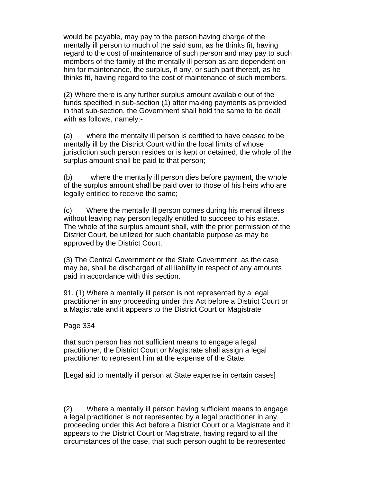would be payable, may pay to the person having charge of the mentally ill person to much of the said sum, as he thinks fit, having regard to the cost of maintenance of such person and may pay to such members of the family of the mentally ill person as are dependent on him for maintenance, the surplus, if any, or such part thereof, as he thinks fit, having regard to the cost of maintenance of such members.

(2) Where there is any further surplus amount available out of the funds specified in sub-section (1) after making payments as provided in that sub-section, the Government shall hold the same to be dealt with as follows, namely:-

(a) where the mentally ill person is certified to have ceased to be mentally ill by the District Court within the local limits of whose jurisdiction such person resides or is kept or detained, the whole of the surplus amount shall be paid to that person;

(b) where the mentally ill person dies before payment, the whole of the surplus amount shall be paid over to those of his heirs who are legally entitled to receive the same;

(c) Where the mentally ill person comes during his mental illness without leaving nay person legally entitled to succeed to his estate. The whole of the surplus amount shall, with the prior permission of the District Court, be utilized for such charitable purpose as may be approved by the District Court.

(3) The Central Government or the State Government, as the case may be, shall be discharged of all liability in respect of any amounts paid in accordance with this section.

91. (1) Where a mentally ill person is not represented by a legal practitioner in any proceeding under this Act before a District Court or a Magistrate and it appears to the District Court or Magistrate

Page 334

that such person has not sufficient means to engage a legal practitioner, the District Court or Magistrate shall assign a legal practitioner to represent him at the expense of the State.

[Legal aid to mentally ill person at State expense in certain cases]

(2) Where a mentally ill person having sufficient means to engage a legal practitioner is not represented by a legal practitioner in any proceeding under this Act before a District Court or a Magistrate and it appears to the District Court or Magistrate, having regard to all the circumstances of the case, that such person ought to be represented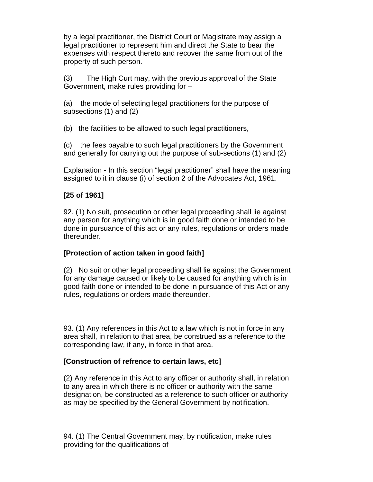by a legal practitioner, the District Court or Magistrate may assign a legal practitioner to represent him and direct the State to bear the expenses with respect thereto and recover the same from out of the property of such person.

(3) The High Curt may, with the previous approval of the State Government, make rules providing for –

(a) the mode of selecting legal practitioners for the purpose of subsections (1) and (2)

(b) the facilities to be allowed to such legal practitioners,

(c) the fees payable to such legal practitioners by the Government and generally for carrying out the purpose of sub-sections (1) and (2)

Explanation - In this section "legal practitioner" shall have the meaning assigned to it in clause (i) of section 2 of the Advocates Act, 1961.

## **[25 of 1961]**

92. (1) No suit, prosecution or other legal proceeding shall lie against any person for anything which is in good faith done or intended to be done in pursuance of this act or any rules, regulations or orders made thereunder.

### **[Protection of action taken in good faith]**

(2) No suit or other legal proceeding shall lie against the Government for any damage caused or likely to be caused for anything which is in good faith done or intended to be done in pursuance of this Act or any rules, regulations or orders made thereunder.

93. (1) Any references in this Act to a law which is not in force in any area shall, in relation to that area, be construed as a reference to the corresponding law, if any, in force in that area.

### **[Construction of refrence to certain laws, etc]**

(2) Any reference in this Act to any officer or authority shall, in relation to any area in which there is no officer or authority with the same designation, be constructed as a reference to such officer or authority as may be specified by the General Government by notification.

94. (1) The Central Government may, by notification, make rules providing for the qualifications of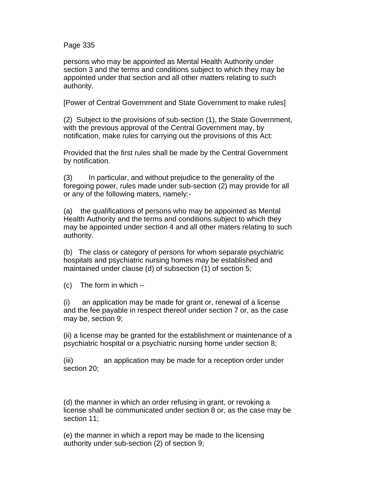Page 335

persons who may be appointed as Mental Health Authority under section 3 and the terms and conditions subject to which they may be appointed under that section and all other matters relating to such authority.

[Power of Central Government and State Government to make rules]

(2) Subject to the provisions of sub-section (1), the State Government, with the previous approval of the Central Government may, by notification, make rules for carrying out the provisions of this Act:

Provided that the first rules shall be made by the Central Government by notification.

(3) In particular, and without prejudice to the generality of the foregoing power, rules made under sub-section (2) may provide for all or any of the following maters, namely:-

(a) the qualifications of persons who may be appointed as Mental Health Authority and the terms and conditions subject to which they may be appointed under section 4 and all other maters relating to such authority.

(b) The class or category of persons for whom separate psychiatric hospitals and psychiatric nursing homes may be established and maintained under clause (d) of subsection (1) of section 5;

 $(c)$  The form in which  $-$ 

(i) an application may be made for grant or, renewal of a license and the fee payable in respect thereof under section 7 or, as the case may be, section 9;

(ii) a license may be granted for the establishment or maintenance of a psychiatric hospital or a psychiatric nursing home under section 8;

(iii) an application may be made for a reception order under section 20;

(d) the manner in which an order refusing in grant, or revoking a license shall be communicated under section 8 or, as the case may be section 11;

(e) the manner in which a report may be made to the licensing authority under sub-section (2) of section 9;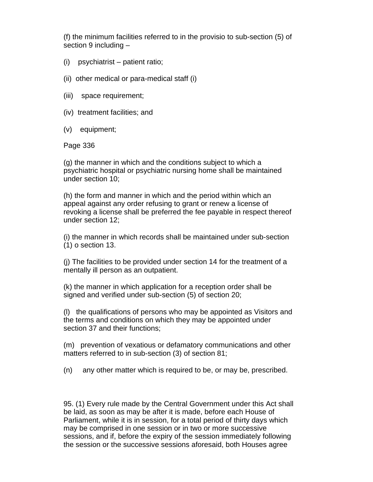(f) the minimum facilities referred to in the provisio to sub-section (5) of section 9 including –

- (i) psychiatrist patient ratio;
- (ii) other medical or para-medical staff (i)
- (iii) space requirement;
- (iv) treatment facilities; and
- (v) equipment;

Page 336

(g) the manner in which and the conditions subject to which a psychiatric hospital or psychiatric nursing home shall be maintained under section 10;

(h) the form and manner in which and the period within which an appeal against any order refusing to grant or renew a license of revoking a license shall be preferred the fee payable in respect thereof under section 12;

(i) the manner in which records shall be maintained under sub-section (1) o section 13.

(j) The facilities to be provided under section 14 for the treatment of a mentally ill person as an outpatient.

(k) the manner in which application for a reception order shall be signed and verified under sub-section (5) of section 20;

(l) the qualifications of persons who may be appointed as Visitors and the terms and conditions on which they may be appointed under section 37 and their functions;

(m) prevention of vexatious or defamatory communications and other matters referred to in sub-section (3) of section 81;

(n) any other matter which is required to be, or may be, prescribed.

95. (1) Every rule made by the Central Government under this Act shall be laid, as soon as may be after it is made, before each House of Parliament, while it is in session, for a total period of thirty days which may be comprised in one session or in two or more successive sessions, and if, before the expiry of the session immediately following the session or the successive sessions aforesaid, both Houses agree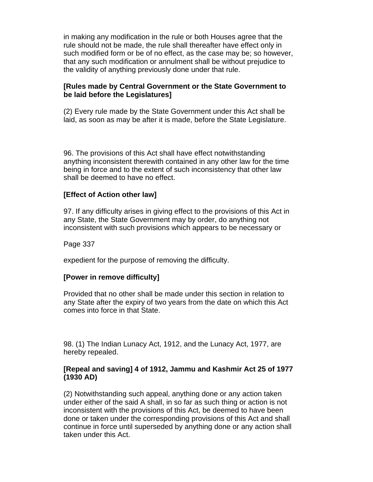in making any modification in the rule or both Houses agree that the rule should not be made, the rule shall thereafter have effect only in such modified form or be of no effect, as the case may be; so however, that any such modification or annulment shall be without prejudice to the validity of anything previously done under that rule.

#### **[Rules made by Central Government or the State Government to be laid before the Legislatures]**

(2) Every rule made by the State Government under this Act shall be laid, as soon as may be after it is made, before the State Legislature.

96. The provisions of this Act shall have effect notwithstanding anything inconsistent therewith contained in any other law for the time being in force and to the extent of such inconsistency that other law shall be deemed to have no effect.

### **[Effect of Action other law]**

97. If any difficulty arises in giving effect to the provisions of this Act in any State, the State Government may by order, do anything not inconsistent with such provisions which appears to be necessary or

Page 337

expedient for the purpose of removing the difficulty.

#### **[Power in remove difficulty]**

Provided that no other shall be made under this section in relation to any State after the expiry of two years from the date on which this Act comes into force in that State.

98. (1) The Indian Lunacy Act, 1912, and the Lunacy Act, 1977, are hereby repealed.

### **[Repeal and saving] 4 of 1912, Jammu and Kashmir Act 25 of 1977 (1930 AD)**

(2) Notwithstanding such appeal, anything done or any action taken under either of the said A shall, in so far as such thing or action is not inconsistent with the provisions of this Act, be deemed to have been done or taken under the corresponding provisions of this Act and shall continue in force until superseded by anything done or any action shall taken under this Act.